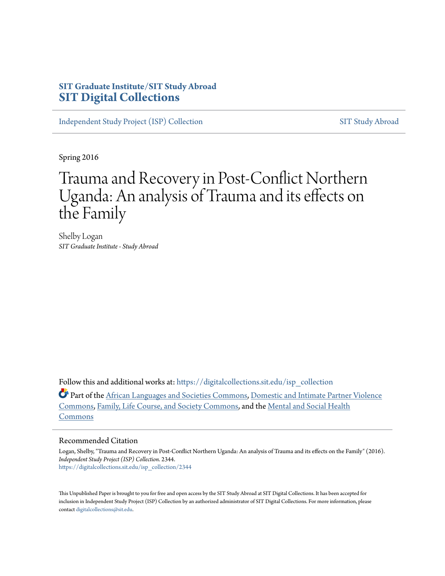## **SIT Graduate Institute/SIT Study Abroad [SIT Digital Collections](https://digitalcollections.sit.edu?utm_source=digitalcollections.sit.edu%2Fisp_collection%2F2344&utm_medium=PDF&utm_campaign=PDFCoverPages)**

[Independent Study Project \(ISP\) Collection](https://digitalcollections.sit.edu/isp_collection?utm_source=digitalcollections.sit.edu%2Fisp_collection%2F2344&utm_medium=PDF&utm_campaign=PDFCoverPages) [SIT Study Abroad](https://digitalcollections.sit.edu/study_abroad?utm_source=digitalcollections.sit.edu%2Fisp_collection%2F2344&utm_medium=PDF&utm_campaign=PDFCoverPages)

Spring 2016

# Trauma and Recovery in Post-Conflict Northern Uganda: An analysis of Trauma and its effects on the Family

Shelby Logan *SIT Graduate Institute - Study Abroad*

Follow this and additional works at: [https://digitalcollections.sit.edu/isp\\_collection](https://digitalcollections.sit.edu/isp_collection?utm_source=digitalcollections.sit.edu%2Fisp_collection%2F2344&utm_medium=PDF&utm_campaign=PDFCoverPages)

Part of the [African Languages and Societies Commons](http://network.bepress.com/hgg/discipline/476?utm_source=digitalcollections.sit.edu%2Fisp_collection%2F2344&utm_medium=PDF&utm_campaign=PDFCoverPages), [Domestic and Intimate Partner Violence](http://network.bepress.com/hgg/discipline/1309?utm_source=digitalcollections.sit.edu%2Fisp_collection%2F2344&utm_medium=PDF&utm_campaign=PDFCoverPages) [Commons,](http://network.bepress.com/hgg/discipline/1309?utm_source=digitalcollections.sit.edu%2Fisp_collection%2F2344&utm_medium=PDF&utm_campaign=PDFCoverPages) [Family, Life Course, and Society Commons,](http://network.bepress.com/hgg/discipline/419?utm_source=digitalcollections.sit.edu%2Fisp_collection%2F2344&utm_medium=PDF&utm_campaign=PDFCoverPages) and the [Mental and Social Health](http://network.bepress.com/hgg/discipline/709?utm_source=digitalcollections.sit.edu%2Fisp_collection%2F2344&utm_medium=PDF&utm_campaign=PDFCoverPages) [Commons](http://network.bepress.com/hgg/discipline/709?utm_source=digitalcollections.sit.edu%2Fisp_collection%2F2344&utm_medium=PDF&utm_campaign=PDFCoverPages)

#### Recommended Citation

Logan, Shelby, "Trauma and Recovery in Post-Conflict Northern Uganda: An analysis of Trauma and its effects on the Family" (2016). *Independent Study Project (ISP) Collection*. 2344. [https://digitalcollections.sit.edu/isp\\_collection/2344](https://digitalcollections.sit.edu/isp_collection/2344?utm_source=digitalcollections.sit.edu%2Fisp_collection%2F2344&utm_medium=PDF&utm_campaign=PDFCoverPages)

This Unpublished Paper is brought to you for free and open access by the SIT Study Abroad at SIT Digital Collections. It has been accepted for inclusion in Independent Study Project (ISP) Collection by an authorized administrator of SIT Digital Collections. For more information, please contact [digitalcollections@sit.edu](mailto:digitalcollections@sit.edu).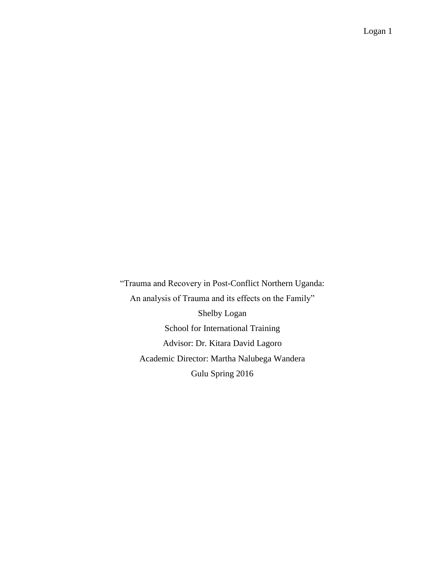"Trauma and Recovery in Post-Conflict Northern Uganda: An analysis of Trauma and its effects on the Family" Shelby Logan School for International Training Advisor: Dr. Kitara David Lagoro Academic Director: Martha Nalubega Wandera Gulu Spring 2016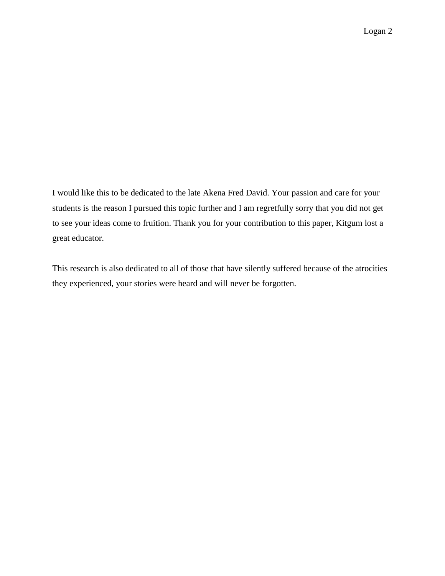I would like this to be dedicated to the late Akena Fred David. Your passion and care for your students is the reason I pursued this topic further and I am regretfully sorry that you did not get to see your ideas come to fruition. Thank you for your contribution to this paper, Kitgum lost a great educator.

This research is also dedicated to all of those that have silently suffered because of the atrocities they experienced, your stories were heard and will never be forgotten.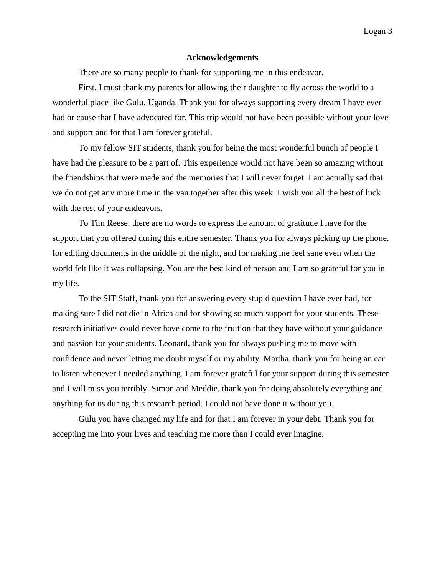#### **Acknowledgements**

There are so many people to thank for supporting me in this endeavor.

First, I must thank my parents for allowing their daughter to fly across the world to a wonderful place like Gulu, Uganda. Thank you for always supporting every dream I have ever had or cause that I have advocated for. This trip would not have been possible without your love and support and for that I am forever grateful.

To my fellow SIT students, thank you for being the most wonderful bunch of people I have had the pleasure to be a part of. This experience would not have been so amazing without the friendships that were made and the memories that I will never forget. I am actually sad that we do not get any more time in the van together after this week. I wish you all the best of luck with the rest of your endeavors.

To Tim Reese, there are no words to express the amount of gratitude I have for the support that you offered during this entire semester. Thank you for always picking up the phone, for editing documents in the middle of the night, and for making me feel sane even when the world felt like it was collapsing. You are the best kind of person and I am so grateful for you in my life.

To the SIT Staff, thank you for answering every stupid question I have ever had, for making sure I did not die in Africa and for showing so much support for your students. These research initiatives could never have come to the fruition that they have without your guidance and passion for your students. Leonard, thank you for always pushing me to move with confidence and never letting me doubt myself or my ability. Martha, thank you for being an ear to listen whenever I needed anything. I am forever grateful for your support during this semester and I will miss you terribly. Simon and Meddie, thank you for doing absolutely everything and anything for us during this research period. I could not have done it without you.

Gulu you have changed my life and for that I am forever in your debt. Thank you for accepting me into your lives and teaching me more than I could ever imagine.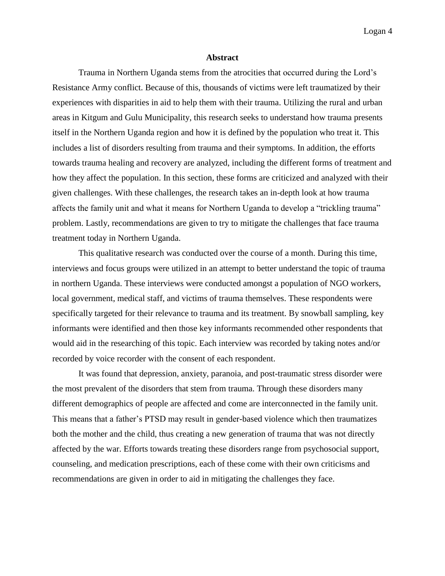#### **Abstract**

Trauma in Northern Uganda stems from the atrocities that occurred during the Lord's Resistance Army conflict. Because of this, thousands of victims were left traumatized by their experiences with disparities in aid to help them with their trauma. Utilizing the rural and urban areas in Kitgum and Gulu Municipality, this research seeks to understand how trauma presents itself in the Northern Uganda region and how it is defined by the population who treat it. This includes a list of disorders resulting from trauma and their symptoms. In addition, the efforts towards trauma healing and recovery are analyzed, including the different forms of treatment and how they affect the population. In this section, these forms are criticized and analyzed with their given challenges. With these challenges, the research takes an in-depth look at how trauma affects the family unit and what it means for Northern Uganda to develop a "trickling trauma" problem. Lastly, recommendations are given to try to mitigate the challenges that face trauma treatment today in Northern Uganda.

This qualitative research was conducted over the course of a month. During this time, interviews and focus groups were utilized in an attempt to better understand the topic of trauma in northern Uganda. These interviews were conducted amongst a population of NGO workers, local government, medical staff, and victims of trauma themselves. These respondents were specifically targeted for their relevance to trauma and its treatment. By snowball sampling, key informants were identified and then those key informants recommended other respondents that would aid in the researching of this topic. Each interview was recorded by taking notes and/or recorded by voice recorder with the consent of each respondent.

It was found that depression, anxiety, paranoia, and post-traumatic stress disorder were the most prevalent of the disorders that stem from trauma. Through these disorders many different demographics of people are affected and come are interconnected in the family unit. This means that a father's PTSD may result in gender-based violence which then traumatizes both the mother and the child, thus creating a new generation of trauma that was not directly affected by the war. Efforts towards treating these disorders range from psychosocial support, counseling, and medication prescriptions, each of these come with their own criticisms and recommendations are given in order to aid in mitigating the challenges they face.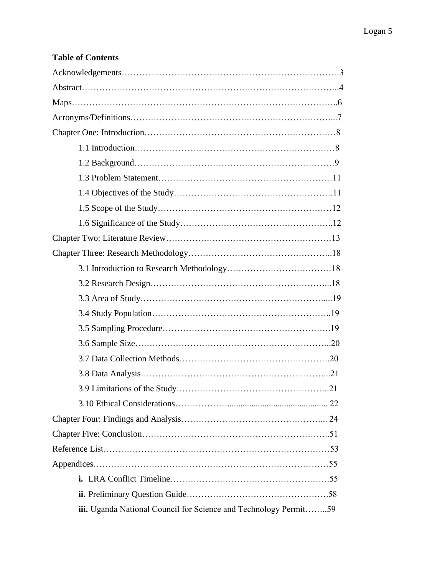## **Table of Contents**

| iii. Uganda National Council for Science and Technology Permit59 |
|------------------------------------------------------------------|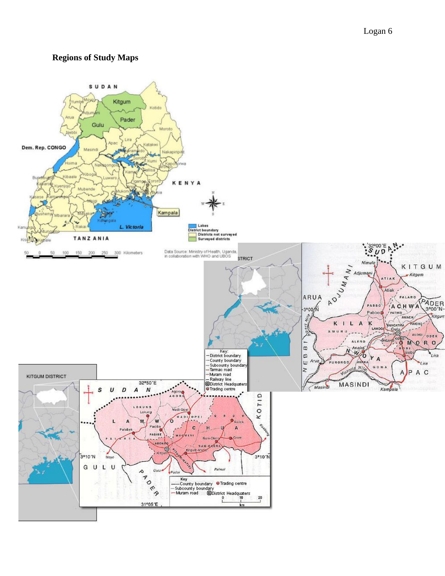## **Regions of Study Maps**

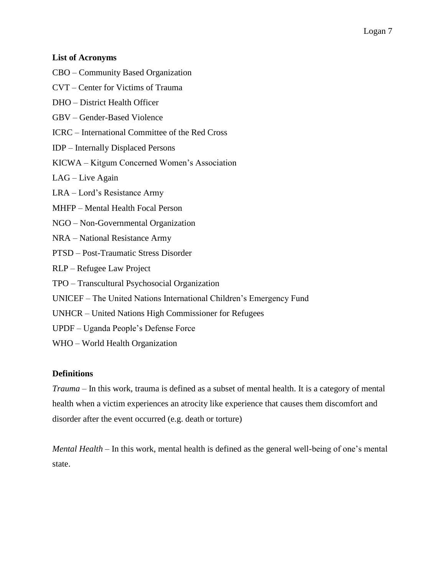#### **List of Acronyms**

- CBO Community Based Organization
- CVT Center for Victims of Trauma
- DHO District Health Officer
- GBV Gender-Based Violence
- ICRC International Committee of the Red Cross
- IDP Internally Displaced Persons
- KICWA Kitgum Concerned Women's Association
- LAG Live Again

LRA – Lord's Resistance Army

- MHFP Mental Health Focal Person
- NGO Non-Governmental Organization
- NRA National Resistance Army
- PTSD Post-Traumatic Stress Disorder
- RLP Refugee Law Project
- TPO Transcultural Psychosocial Organization
- UNICEF The United Nations International Children's Emergency Fund
- UNHCR United Nations High Commissioner for Refugees
- UPDF Uganda People's Defense Force
- WHO World Health Organization

#### **Definitions**

*Trauma* – In this work, trauma is defined as a subset of mental health. It is a category of mental health when a victim experiences an atrocity like experience that causes them discomfort and disorder after the event occurred (e.g. death or torture)

*Mental Health* – In this work, mental health is defined as the general well-being of one's mental state.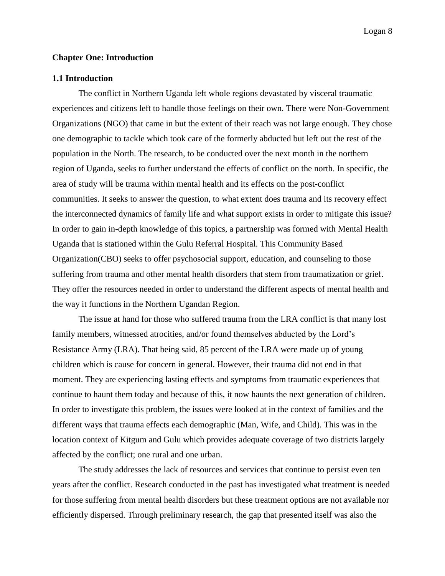#### **Chapter One: Introduction**

#### **1.1 Introduction**

The conflict in Northern Uganda left whole regions devastated by visceral traumatic experiences and citizens left to handle those feelings on their own. There were Non-Government Organizations (NGO) that came in but the extent of their reach was not large enough. They chose one demographic to tackle which took care of the formerly abducted but left out the rest of the population in the North. The research, to be conducted over the next month in the northern region of Uganda, seeks to further understand the effects of conflict on the north. In specific, the area of study will be trauma within mental health and its effects on the post-conflict communities. It seeks to answer the question, to what extent does trauma and its recovery effect the interconnected dynamics of family life and what support exists in order to mitigate this issue? In order to gain in-depth knowledge of this topics, a partnership was formed with Mental Health Uganda that is stationed within the Gulu Referral Hospital. This Community Based Organization(CBO) seeks to offer psychosocial support, education, and counseling to those suffering from trauma and other mental health disorders that stem from traumatization or grief. They offer the resources needed in order to understand the different aspects of mental health and the way it functions in the Northern Ugandan Region.

The issue at hand for those who suffered trauma from the LRA conflict is that many lost family members, witnessed atrocities, and/or found themselves abducted by the Lord's Resistance Army (LRA). That being said, 85 percent of the LRA were made up of young children which is cause for concern in general. However, their trauma did not end in that moment. They are experiencing lasting effects and symptoms from traumatic experiences that continue to haunt them today and because of this, it now haunts the next generation of children. In order to investigate this problem, the issues were looked at in the context of families and the different ways that trauma effects each demographic (Man, Wife, and Child). This was in the location context of Kitgum and Gulu which provides adequate coverage of two districts largely affected by the conflict; one rural and one urban.

The study addresses the lack of resources and services that continue to persist even ten years after the conflict. Research conducted in the past has investigated what treatment is needed for those suffering from mental health disorders but these treatment options are not available nor efficiently dispersed. Through preliminary research, the gap that presented itself was also the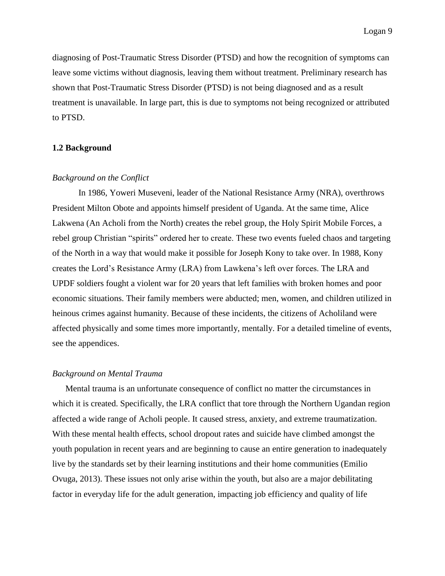diagnosing of Post-Traumatic Stress Disorder (PTSD) and how the recognition of symptoms can leave some victims without diagnosis, leaving them without treatment. Preliminary research has shown that Post-Traumatic Stress Disorder (PTSD) is not being diagnosed and as a result treatment is unavailable. In large part, this is due to symptoms not being recognized or attributed to PTSD.

#### **1.2 Background**

#### *Background on the Conflict*

In 1986, Yoweri Museveni, leader of the National Resistance Army (NRA), overthrows President Milton Obote and appoints himself president of Uganda. At the same time, Alice Lakwena (An Acholi from the North) creates the rebel group, the Holy Spirit Mobile Forces, a rebel group Christian "spirits" ordered her to create. These two events fueled chaos and targeting of the North in a way that would make it possible for Joseph Kony to take over. In 1988, Kony creates the Lord's Resistance Army (LRA) from Lawkena's left over forces. The LRA and UPDF soldiers fought a violent war for 20 years that left families with broken homes and poor economic situations. Their family members were abducted; men, women, and children utilized in heinous crimes against humanity. Because of these incidents, the citizens of Acholiland were affected physically and some times more importantly, mentally. For a detailed timeline of events, see the appendices.

#### *Background on Mental Trauma*

Mental trauma is an unfortunate consequence of conflict no matter the circumstances in which it is created. Specifically, the LRA conflict that tore through the Northern Ugandan region affected a wide range of Acholi people. It caused stress, anxiety, and extreme traumatization. With these mental health effects, school dropout rates and suicide have climbed amongst the youth population in recent years and are beginning to cause an entire generation to inadequately live by the standards set by their learning institutions and their home communities (Emilio Ovuga, 2013). These issues not only arise within the youth, but also are a major debilitating factor in everyday life for the adult generation, impacting job efficiency and quality of life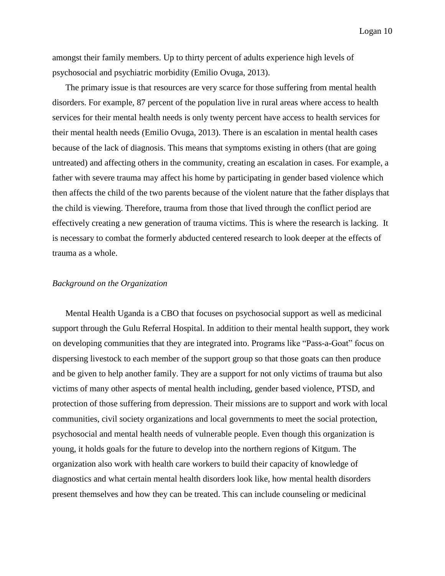amongst their family members. Up to thirty percent of adults experience high levels of psychosocial and psychiatric morbidity (Emilio Ovuga, 2013).

The primary issue is that resources are very scarce for those suffering from mental health disorders. For example, 87 percent of the population live in rural areas where access to health services for their mental health needs is only twenty percent have access to health services for their mental health needs (Emilio Ovuga, 2013). There is an escalation in mental health cases because of the lack of diagnosis. This means that symptoms existing in others (that are going untreated) and affecting others in the community, creating an escalation in cases. For example, a father with severe trauma may affect his home by participating in gender based violence which then affects the child of the two parents because of the violent nature that the father displays that the child is viewing. Therefore, trauma from those that lived through the conflict period are effectively creating a new generation of trauma victims. This is where the research is lacking. It is necessary to combat the formerly abducted centered research to look deeper at the effects of trauma as a whole.

#### *Background on the Organization*

Mental Health Uganda is a CBO that focuses on psychosocial support as well as medicinal support through the Gulu Referral Hospital. In addition to their mental health support, they work on developing communities that they are integrated into. Programs like "Pass-a-Goat" focus on dispersing livestock to each member of the support group so that those goats can then produce and be given to help another family. They are a support for not only victims of trauma but also victims of many other aspects of mental health including, gender based violence, PTSD, and protection of those suffering from depression. Their missions are to support and work with local communities, civil society organizations and local governments to meet the social protection, psychosocial and mental health needs of vulnerable people. Even though this organization is young, it holds goals for the future to develop into the northern regions of Kitgum. The organization also work with health care workers to build their capacity of knowledge of diagnostics and what certain mental health disorders look like, how mental health disorders present themselves and how they can be treated. This can include counseling or medicinal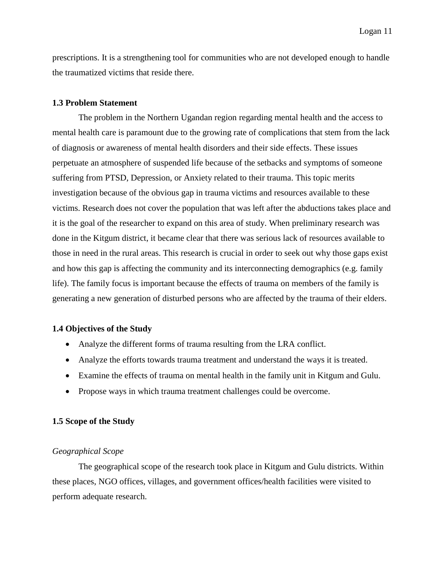prescriptions. It is a strengthening tool for communities who are not developed enough to handle the traumatized victims that reside there.

#### **1.3 Problem Statement**

The problem in the Northern Ugandan region regarding mental health and the access to mental health care is paramount due to the growing rate of complications that stem from the lack of diagnosis or awareness of mental health disorders and their side effects. These issues perpetuate an atmosphere of suspended life because of the setbacks and symptoms of someone suffering from PTSD, Depression, or Anxiety related to their trauma. This topic merits investigation because of the obvious gap in trauma victims and resources available to these victims. Research does not cover the population that was left after the abductions takes place and it is the goal of the researcher to expand on this area of study. When preliminary research was done in the Kitgum district, it became clear that there was serious lack of resources available to those in need in the rural areas. This research is crucial in order to seek out why those gaps exist and how this gap is affecting the community and its interconnecting demographics (e.g. family life). The family focus is important because the effects of trauma on members of the family is generating a new generation of disturbed persons who are affected by the trauma of their elders.

#### **1.4 Objectives of the Study**

- Analyze the different forms of trauma resulting from the LRA conflict.
- Analyze the efforts towards trauma treatment and understand the ways it is treated.
- Examine the effects of trauma on mental health in the family unit in Kitgum and Gulu.
- Propose ways in which trauma treatment challenges could be overcome.

#### **1.5 Scope of the Study**

#### *Geographical Scope*

The geographical scope of the research took place in Kitgum and Gulu districts. Within these places, NGO offices, villages, and government offices/health facilities were visited to perform adequate research.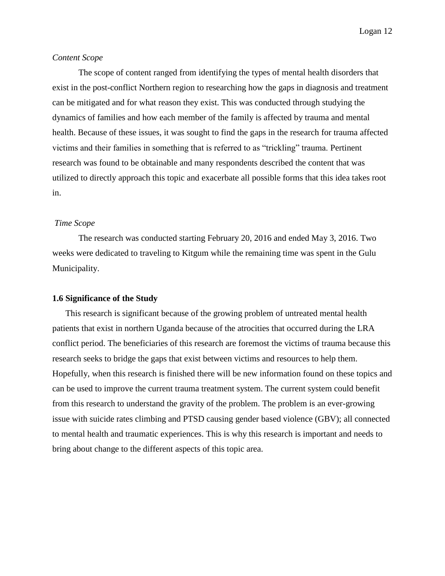#### *Content Scope*

The scope of content ranged from identifying the types of mental health disorders that exist in the post-conflict Northern region to researching how the gaps in diagnosis and treatment can be mitigated and for what reason they exist. This was conducted through studying the dynamics of families and how each member of the family is affected by trauma and mental health. Because of these issues, it was sought to find the gaps in the research for trauma affected victims and their families in something that is referred to as "trickling" trauma. Pertinent research was found to be obtainable and many respondents described the content that was utilized to directly approach this topic and exacerbate all possible forms that this idea takes root in.

#### *Time Scope*

The research was conducted starting February 20, 2016 and ended May 3, 2016. Two weeks were dedicated to traveling to Kitgum while the remaining time was spent in the Gulu Municipality.

#### **1.6 Significance of the Study**

This research is significant because of the growing problem of untreated mental health patients that exist in northern Uganda because of the atrocities that occurred during the LRA conflict period. The beneficiaries of this research are foremost the victims of trauma because this research seeks to bridge the gaps that exist between victims and resources to help them. Hopefully, when this research is finished there will be new information found on these topics and can be used to improve the current trauma treatment system. The current system could benefit from this research to understand the gravity of the problem. The problem is an ever-growing issue with suicide rates climbing and PTSD causing gender based violence (GBV); all connected to mental health and traumatic experiences. This is why this research is important and needs to bring about change to the different aspects of this topic area.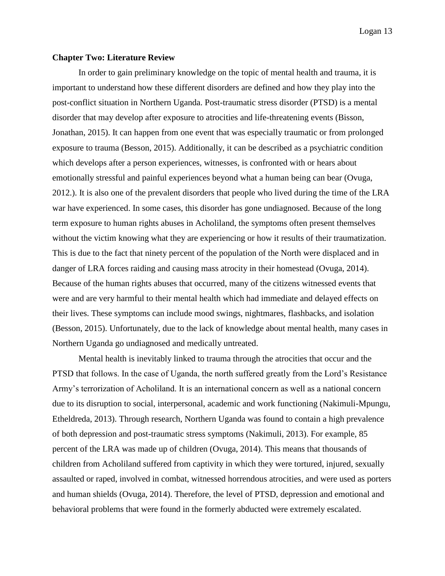#### **Chapter Two: Literature Review**

In order to gain preliminary knowledge on the topic of mental health and trauma, it is important to understand how these different disorders are defined and how they play into the post-conflict situation in Northern Uganda. Post-traumatic stress disorder (PTSD) is a mental disorder that may develop after exposure to atrocities and life-threatening events (Bisson, Jonathan, 2015). It can happen from one event that was especially traumatic or from prolonged exposure to trauma (Besson, 2015). Additionally, it can be described as a psychiatric condition which develops after a person experiences, witnesses, is confronted with or hears about emotionally stressful and painful experiences beyond what a human being can bear (Ovuga, 2012.). It is also one of the prevalent disorders that people who lived during the time of the LRA war have experienced. In some cases, this disorder has gone undiagnosed. Because of the long term exposure to human rights abuses in Acholiland, the symptoms often present themselves without the victim knowing what they are experiencing or how it results of their traumatization. This is due to the fact that ninety percent of the population of the North were displaced and in danger of LRA forces raiding and causing mass atrocity in their homestead (Ovuga, 2014). Because of the human rights abuses that occurred, many of the citizens witnessed events that were and are very harmful to their mental health which had immediate and delayed effects on their lives. These symptoms can include mood swings, nightmares, flashbacks, and isolation (Besson, 2015). Unfortunately, due to the lack of knowledge about mental health, many cases in Northern Uganda go undiagnosed and medically untreated.

Mental health is inevitably linked to trauma through the atrocities that occur and the PTSD that follows. In the case of Uganda, the north suffered greatly from the Lord's Resistance Army's terrorization of Acholiland. It is an international concern as well as a national concern due to its disruption to social, interpersonal, academic and work functioning (Nakimuli-Mpungu, Etheldreda, 2013). Through research, Northern Uganda was found to contain a high prevalence of both depression and post-traumatic stress symptoms (Nakimuli, 2013). For example, 85 percent of the LRA was made up of children (Ovuga, 2014). This means that thousands of children from Acholiland suffered from captivity in which they were tortured, injured, sexually assaulted or raped, involved in combat, witnessed horrendous atrocities, and were used as porters and human shields (Ovuga, 2014). Therefore, the level of PTSD, depression and emotional and behavioral problems that were found in the formerly abducted were extremely escalated.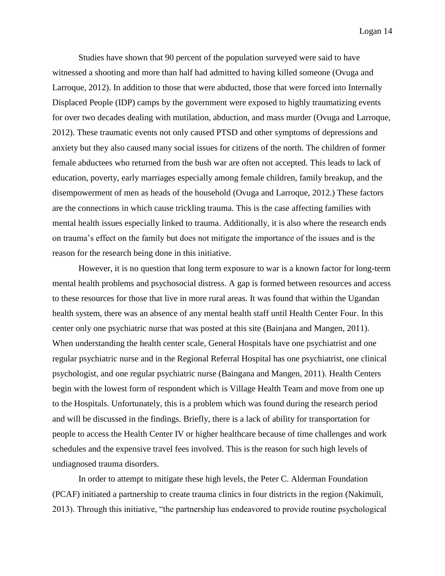Studies have shown that 90 percent of the population surveyed were said to have witnessed a shooting and more than half had admitted to having killed someone (Ovuga and Larroque, 2012). In addition to those that were abducted, those that were forced into Internally Displaced People (IDP) camps by the government were exposed to highly traumatizing events for over two decades dealing with mutilation, abduction, and mass murder (Ovuga and Larroque, 2012). These traumatic events not only caused PTSD and other symptoms of depressions and anxiety but they also caused many social issues for citizens of the north. The children of former female abductees who returned from the bush war are often not accepted. This leads to lack of education, poverty, early marriages especially among female children, family breakup, and the disempowerment of men as heads of the household (Ovuga and Larroque, 2012.) These factors are the connections in which cause trickling trauma. This is the case affecting families with mental health issues especially linked to trauma. Additionally, it is also where the research ends on trauma's effect on the family but does not mitigate the importance of the issues and is the reason for the research being done in this initiative.

However, it is no question that long term exposure to war is a known factor for long-term mental health problems and psychosocial distress. A gap is formed between resources and access to these resources for those that live in more rural areas. It was found that within the Ugandan health system, there was an absence of any mental health staff until Health Center Four. In this center only one psychiatric nurse that was posted at this site (Bainjana and Mangen, 2011). When understanding the health center scale, General Hospitals have one psychiatrist and one regular psychiatric nurse and in the Regional Referral Hospital has one psychiatrist, one clinical psychologist, and one regular psychiatric nurse (Baingana and Mangen, 2011). Health Centers begin with the lowest form of respondent which is Village Health Team and move from one up to the Hospitals. Unfortunately, this is a problem which was found during the research period and will be discussed in the findings. Briefly, there is a lack of ability for transportation for people to access the Health Center IV or higher healthcare because of time challenges and work schedules and the expensive travel fees involved. This is the reason for such high levels of undiagnosed trauma disorders.

In order to attempt to mitigate these high levels, the Peter C. Alderman Foundation (PCAF) initiated a partnership to create trauma clinics in four districts in the region (Nakimuli, 2013). Through this initiative, "the partnership has endeavored to provide routine psychological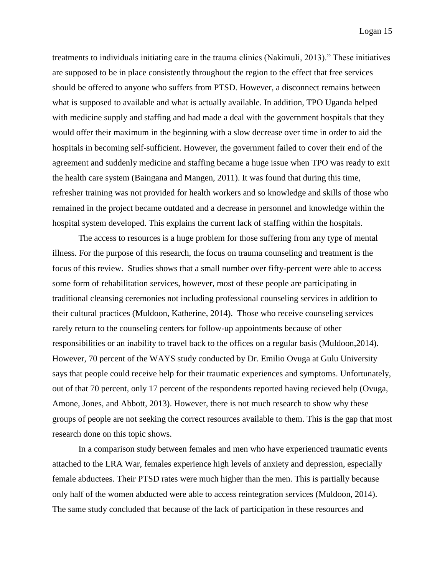treatments to individuals initiating care in the trauma clinics (Nakimuli, 2013)." These initiatives are supposed to be in place consistently throughout the region to the effect that free services should be offered to anyone who suffers from PTSD. However, a disconnect remains between what is supposed to available and what is actually available. In addition, TPO Uganda helped with medicine supply and staffing and had made a deal with the government hospitals that they would offer their maximum in the beginning with a slow decrease over time in order to aid the hospitals in becoming self-sufficient. However, the government failed to cover their end of the agreement and suddenly medicine and staffing became a huge issue when TPO was ready to exit the health care system (Baingana and Mangen, 2011). It was found that during this time, refresher training was not provided for health workers and so knowledge and skills of those who remained in the project became outdated and a decrease in personnel and knowledge within the hospital system developed. This explains the current lack of staffing within the hospitals.

The access to resources is a huge problem for those suffering from any type of mental illness. For the purpose of this research, the focus on trauma counseling and treatment is the focus of this review. Studies shows that a small number over fifty-percent were able to access some form of rehabilitation services, however, most of these people are participating in traditional cleansing ceremonies not including professional counseling services in addition to their cultural practices (Muldoon, Katherine, 2014). Those who receive counseling services rarely return to the counseling centers for follow-up appointments because of other responsibilities or an inability to travel back to the offices on a regular basis (Muldoon,2014). However, 70 percent of the WAYS study conducted by Dr. Emilio Ovuga at Gulu University says that people could receive help for their traumatic experiences and symptoms. Unfortunately, out of that 70 percent, only 17 percent of the respondents reported having recieved help (Ovuga, Amone, Jones, and Abbott, 2013). However, there is not much research to show why these groups of people are not seeking the correct resources available to them. This is the gap that most research done on this topic shows.

In a comparison study between females and men who have experienced traumatic events attached to the LRA War, females experience high levels of anxiety and depression, especially female abductees. Their PTSD rates were much higher than the men. This is partially because only half of the women abducted were able to access reintegration services (Muldoon, 2014). The same study concluded that because of the lack of participation in these resources and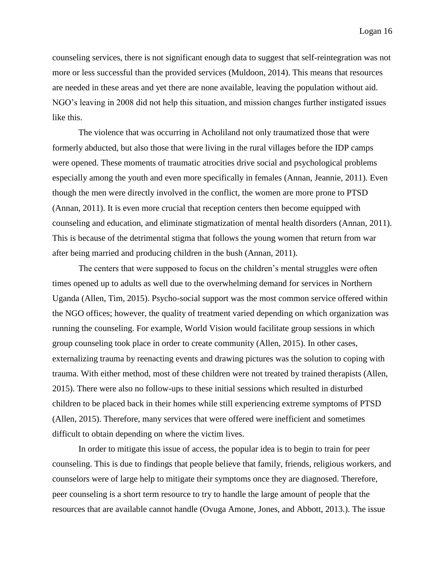counseling services, there is not significant enough data to suggest that self-reintegration was not more or less successful than the provided services (Muldoon, 2014). This means that resources are needed in these areas and yet there are none available, leaving the population without aid. NGO's leaving in 2008 did not help this situation, and mission changes further instigated issues like this.

The violence that was occurring in Acholiland not only traumatized those that were formerly abducted, but also those that were living in the rural villages before the IDP camps were opened. These moments of traumatic atrocities drive social and psychological problems especially among the youth and even more specifically in females (Annan, Jeannie, 2011). Even though the men were directly involved in the conflict, the women are more prone to PTSD (Annan, 2011). It is even more crucial that reception centers then become equipped with counseling and education, and eliminate stigmatization of mental health disorders (Annan, 2011). This is because of the detrimental stigma that follows the young women that return from war after being married and producing children in the bush (Annan, 2011).

The centers that were supposed to focus on the children's mental struggles were often times opened up to adults as well due to the overwhelming demand for services in Northern Uganda (Allen, Tim, 2015). Psycho-social support was the most common service offered within the NGO offices; however, the quality of treatment varied depending on which organization was running the counseling. For example, World Vision would facilitate group sessions in which group counseling took place in order to create community (Allen, 2015). In other cases, externalizing trauma by reenacting events and drawing pictures was the solution to coping with trauma. With either method, most of these children were not treated by trained therapists (Allen, 2015). There were also no follow-ups to these initial sessions which resulted in disturbed children to be placed back in their homes while still experiencing extreme symptoms of PTSD (Allen, 2015). Therefore, many services that were offered were inefficient and sometimes difficult to obtain depending on where the victim lives.

In order to mitigate this issue of access, the popular idea is to begin to train for peer counseling. This is due to findings that people believe that family, friends, religious workers, and counselors were of large help to mitigate their symptoms once they are diagnosed. Therefore, peer counseling is a short term resource to try to handle the large amount of people that the resources that are available cannot handle (Ovuga Amone, Jones, and Abbott, 2013.). The issue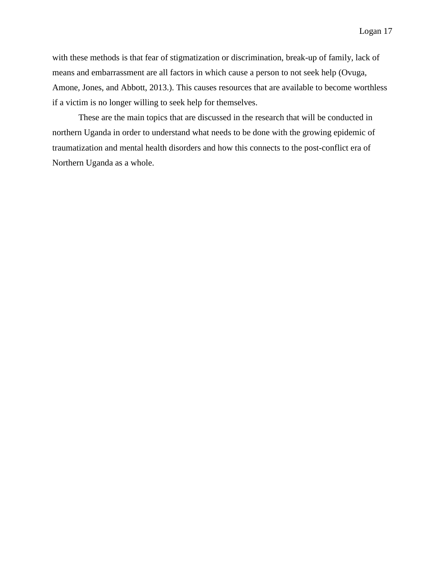with these methods is that fear of stigmatization or discrimination, break-up of family, lack of means and embarrassment are all factors in which cause a person to not seek help (Ovuga, Amone, Jones, and Abbott, 2013.). This causes resources that are available to become worthless if a victim is no longer willing to seek help for themselves.

These are the main topics that are discussed in the research that will be conducted in northern Uganda in order to understand what needs to be done with the growing epidemic of traumatization and mental health disorders and how this connects to the post-conflict era of Northern Uganda as a whole.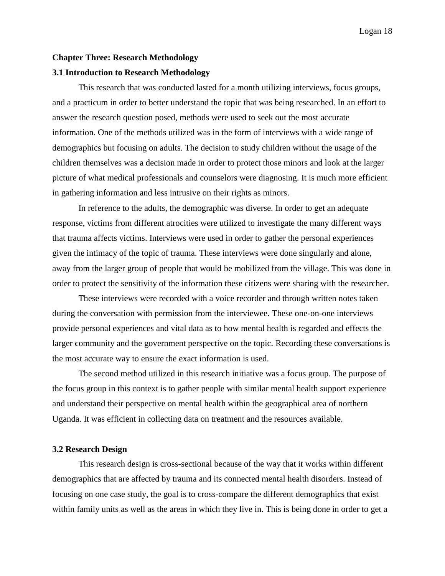#### **Chapter Three: Research Methodology**

#### **3.1 Introduction to Research Methodology**

This research that was conducted lasted for a month utilizing interviews, focus groups, and a practicum in order to better understand the topic that was being researched. In an effort to answer the research question posed, methods were used to seek out the most accurate information. One of the methods utilized was in the form of interviews with a wide range of demographics but focusing on adults. The decision to study children without the usage of the children themselves was a decision made in order to protect those minors and look at the larger picture of what medical professionals and counselors were diagnosing. It is much more efficient in gathering information and less intrusive on their rights as minors.

In reference to the adults, the demographic was diverse. In order to get an adequate response, victims from different atrocities were utilized to investigate the many different ways that trauma affects victims. Interviews were used in order to gather the personal experiences given the intimacy of the topic of trauma. These interviews were done singularly and alone, away from the larger group of people that would be mobilized from the village. This was done in order to protect the sensitivity of the information these citizens were sharing with the researcher.

These interviews were recorded with a voice recorder and through written notes taken during the conversation with permission from the interviewee. These one-on-one interviews provide personal experiences and vital data as to how mental health is regarded and effects the larger community and the government perspective on the topic. Recording these conversations is the most accurate way to ensure the exact information is used.

The second method utilized in this research initiative was a focus group. The purpose of the focus group in this context is to gather people with similar mental health support experience and understand their perspective on mental health within the geographical area of northern Uganda. It was efficient in collecting data on treatment and the resources available.

#### **3.2 Research Design**

This research design is cross-sectional because of the way that it works within different demographics that are affected by trauma and its connected mental health disorders. Instead of focusing on one case study, the goal is to cross-compare the different demographics that exist within family units as well as the areas in which they live in. This is being done in order to get a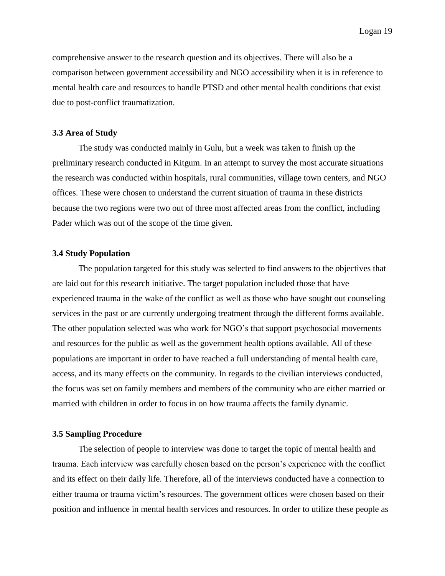comprehensive answer to the research question and its objectives. There will also be a comparison between government accessibility and NGO accessibility when it is in reference to mental health care and resources to handle PTSD and other mental health conditions that exist due to post-conflict traumatization.

#### **3.3 Area of Study**

The study was conducted mainly in Gulu, but a week was taken to finish up the preliminary research conducted in Kitgum. In an attempt to survey the most accurate situations the research was conducted within hospitals, rural communities, village town centers, and NGO offices. These were chosen to understand the current situation of trauma in these districts because the two regions were two out of three most affected areas from the conflict, including Pader which was out of the scope of the time given.

#### **3.4 Study Population**

The population targeted for this study was selected to find answers to the objectives that are laid out for this research initiative. The target population included those that have experienced trauma in the wake of the conflict as well as those who have sought out counseling services in the past or are currently undergoing treatment through the different forms available. The other population selected was who work for NGO's that support psychosocial movements and resources for the public as well as the government health options available. All of these populations are important in order to have reached a full understanding of mental health care, access, and its many effects on the community. In regards to the civilian interviews conducted, the focus was set on family members and members of the community who are either married or married with children in order to focus in on how trauma affects the family dynamic.

#### **3.5 Sampling Procedure**

The selection of people to interview was done to target the topic of mental health and trauma. Each interview was carefully chosen based on the person's experience with the conflict and its effect on their daily life. Therefore, all of the interviews conducted have a connection to either trauma or trauma victim's resources. The government offices were chosen based on their position and influence in mental health services and resources. In order to utilize these people as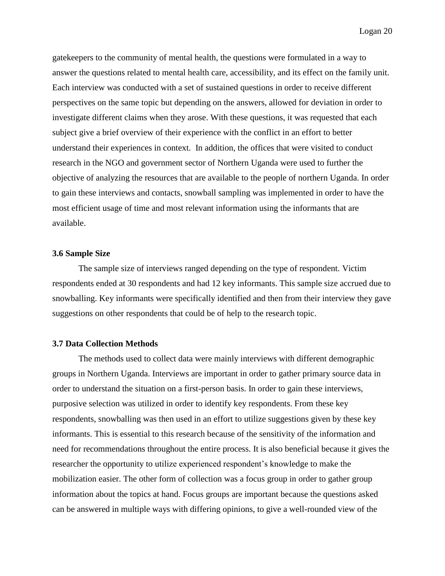gatekeepers to the community of mental health, the questions were formulated in a way to answer the questions related to mental health care, accessibility, and its effect on the family unit. Each interview was conducted with a set of sustained questions in order to receive different perspectives on the same topic but depending on the answers, allowed for deviation in order to investigate different claims when they arose. With these questions, it was requested that each subject give a brief overview of their experience with the conflict in an effort to better understand their experiences in context. In addition, the offices that were visited to conduct research in the NGO and government sector of Northern Uganda were used to further the objective of analyzing the resources that are available to the people of northern Uganda. In order to gain these interviews and contacts, snowball sampling was implemented in order to have the most efficient usage of time and most relevant information using the informants that are available.

#### **3.6 Sample Size**

The sample size of interviews ranged depending on the type of respondent. Victim respondents ended at 30 respondents and had 12 key informants. This sample size accrued due to snowballing. Key informants were specifically identified and then from their interview they gave suggestions on other respondents that could be of help to the research topic.

#### **3.7 Data Collection Methods**

The methods used to collect data were mainly interviews with different demographic groups in Northern Uganda. Interviews are important in order to gather primary source data in order to understand the situation on a first-person basis. In order to gain these interviews, purposive selection was utilized in order to identify key respondents. From these key respondents, snowballing was then used in an effort to utilize suggestions given by these key informants. This is essential to this research because of the sensitivity of the information and need for recommendations throughout the entire process. It is also beneficial because it gives the researcher the opportunity to utilize experienced respondent's knowledge to make the mobilization easier. The other form of collection was a focus group in order to gather group information about the topics at hand. Focus groups are important because the questions asked can be answered in multiple ways with differing opinions, to give a well-rounded view of the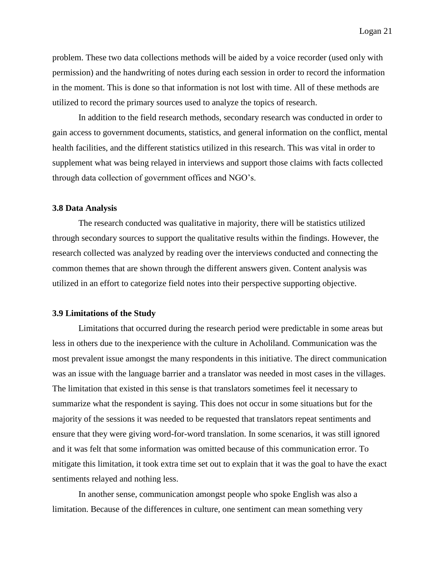problem. These two data collections methods will be aided by a voice recorder (used only with permission) and the handwriting of notes during each session in order to record the information in the moment. This is done so that information is not lost with time. All of these methods are utilized to record the primary sources used to analyze the topics of research.

In addition to the field research methods, secondary research was conducted in order to gain access to government documents, statistics, and general information on the conflict, mental health facilities, and the different statistics utilized in this research. This was vital in order to supplement what was being relayed in interviews and support those claims with facts collected through data collection of government offices and NGO's.

#### **3.8 Data Analysis**

The research conducted was qualitative in majority, there will be statistics utilized through secondary sources to support the qualitative results within the findings. However, the research collected was analyzed by reading over the interviews conducted and connecting the common themes that are shown through the different answers given. Content analysis was utilized in an effort to categorize field notes into their perspective supporting objective.

#### **3.9 Limitations of the Study**

Limitations that occurred during the research period were predictable in some areas but less in others due to the inexperience with the culture in Acholiland. Communication was the most prevalent issue amongst the many respondents in this initiative. The direct communication was an issue with the language barrier and a translator was needed in most cases in the villages. The limitation that existed in this sense is that translators sometimes feel it necessary to summarize what the respondent is saying. This does not occur in some situations but for the majority of the sessions it was needed to be requested that translators repeat sentiments and ensure that they were giving word-for-word translation. In some scenarios, it was still ignored and it was felt that some information was omitted because of this communication error. To mitigate this limitation, it took extra time set out to explain that it was the goal to have the exact sentiments relayed and nothing less.

In another sense, communication amongst people who spoke English was also a limitation. Because of the differences in culture, one sentiment can mean something very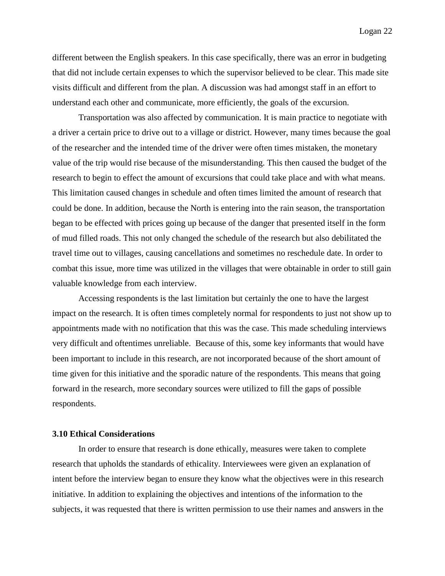different between the English speakers. In this case specifically, there was an error in budgeting that did not include certain expenses to which the supervisor believed to be clear. This made site visits difficult and different from the plan. A discussion was had amongst staff in an effort to understand each other and communicate, more efficiently, the goals of the excursion.

Transportation was also affected by communication. It is main practice to negotiate with a driver a certain price to drive out to a village or district. However, many times because the goal of the researcher and the intended time of the driver were often times mistaken, the monetary value of the trip would rise because of the misunderstanding. This then caused the budget of the research to begin to effect the amount of excursions that could take place and with what means. This limitation caused changes in schedule and often times limited the amount of research that could be done. In addition, because the North is entering into the rain season, the transportation began to be effected with prices going up because of the danger that presented itself in the form of mud filled roads. This not only changed the schedule of the research but also debilitated the travel time out to villages, causing cancellations and sometimes no reschedule date. In order to combat this issue, more time was utilized in the villages that were obtainable in order to still gain valuable knowledge from each interview.

Accessing respondents is the last limitation but certainly the one to have the largest impact on the research. It is often times completely normal for respondents to just not show up to appointments made with no notification that this was the case. This made scheduling interviews very difficult and oftentimes unreliable. Because of this, some key informants that would have been important to include in this research, are not incorporated because of the short amount of time given for this initiative and the sporadic nature of the respondents. This means that going forward in the research, more secondary sources were utilized to fill the gaps of possible respondents.

#### **3.10 Ethical Considerations**

In order to ensure that research is done ethically, measures were taken to complete research that upholds the standards of ethicality. Interviewees were given an explanation of intent before the interview began to ensure they know what the objectives were in this research initiative. In addition to explaining the objectives and intentions of the information to the subjects, it was requested that there is written permission to use their names and answers in the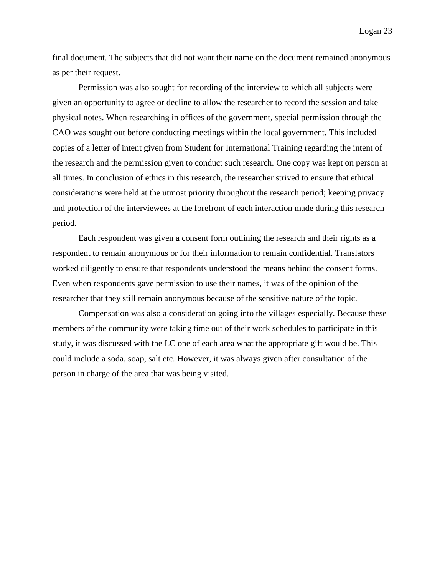final document. The subjects that did not want their name on the document remained anonymous as per their request.

Permission was also sought for recording of the interview to which all subjects were given an opportunity to agree or decline to allow the researcher to record the session and take physical notes. When researching in offices of the government, special permission through the CAO was sought out before conducting meetings within the local government. This included copies of a letter of intent given from Student for International Training regarding the intent of the research and the permission given to conduct such research. One copy was kept on person at all times. In conclusion of ethics in this research, the researcher strived to ensure that ethical considerations were held at the utmost priority throughout the research period; keeping privacy and protection of the interviewees at the forefront of each interaction made during this research period.

Each respondent was given a consent form outlining the research and their rights as a respondent to remain anonymous or for their information to remain confidential. Translators worked diligently to ensure that respondents understood the means behind the consent forms. Even when respondents gave permission to use their names, it was of the opinion of the researcher that they still remain anonymous because of the sensitive nature of the topic.

Compensation was also a consideration going into the villages especially. Because these members of the community were taking time out of their work schedules to participate in this study, it was discussed with the LC one of each area what the appropriate gift would be. This could include a soda, soap, salt etc. However, it was always given after consultation of the person in charge of the area that was being visited.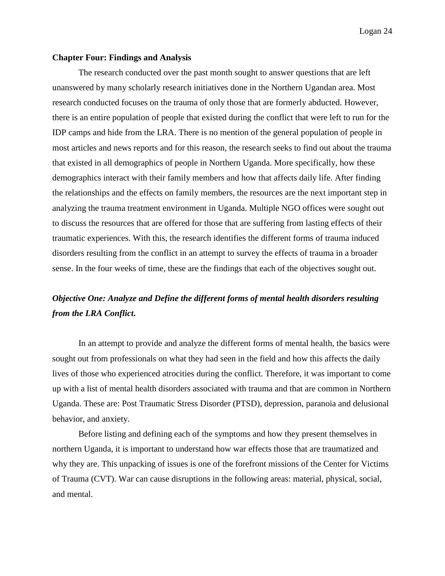#### **Chapter Four: Findings and Analysis**

The research conducted over the past month sought to answer questions that are left unanswered by many scholarly research initiatives done in the Northern Ugandan area. Most research conducted focuses on the trauma of only those that are formerly abducted. However, there is an entire population of people that existed during the conflict that were left to run for the IDP camps and hide from the LRA. There is no mention of the general population of people in most articles and news reports and for this reason, the research seeks to find out about the trauma that existed in all demographics of people in Northern Uganda. More specifically, how these demographics interact with their family members and how that affects daily life. After finding the relationships and the effects on family members, the resources are the next important step in analyzing the trauma treatment environment in Uganda. Multiple NGO offices were sought out to discuss the resources that are offered for those that are suffering from lasting effects of their traumatic experiences. With this, the research identifies the different forms of trauma induced disorders resulting from the conflict in an attempt to survey the effects of trauma in a broader sense. In the four weeks of time, these are the findings that each of the objectives sought out.

# *Objective One: Analyze and Define the different forms of mental health disorders resulting from the LRA Conflict***.**

In an attempt to provide and analyze the different forms of mental health, the basics were sought out from professionals on what they had seen in the field and how this affects the daily lives of those who experienced atrocities during the conflict. Therefore, it was important to come up with a list of mental health disorders associated with trauma and that are common in Northern Uganda. These are: Post Traumatic Stress Disorder (PTSD), depression, paranoia and delusional behavior, and anxiety.

Before listing and defining each of the symptoms and how they present themselves in northern Uganda, it is important to understand how war effects those that are traumatized and why they are. This unpacking of issues is one of the forefront missions of the Center for Victims of Trauma (CVT). War can cause disruptions in the following areas: material, physical, social, and mental.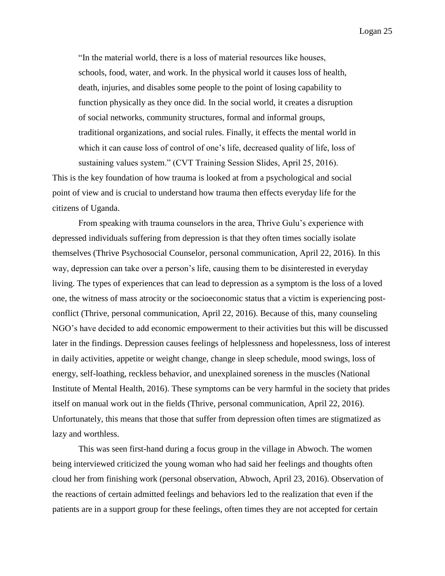"In the material world, there is a loss of material resources like houses, schools, food, water, and work. In the physical world it causes loss of health, death, injuries, and disables some people to the point of losing capability to function physically as they once did. In the social world, it creates a disruption of social networks, community structures, formal and informal groups, traditional organizations, and social rules. Finally, it effects the mental world in which it can cause loss of control of one's life, decreased quality of life, loss of sustaining values system." (CVT Training Session Slides, April 25, 2016).

This is the key foundation of how trauma is looked at from a psychological and social point of view and is crucial to understand how trauma then effects everyday life for the citizens of Uganda.

From speaking with trauma counselors in the area, Thrive Gulu's experience with depressed individuals suffering from depression is that they often times socially isolate themselves (Thrive Psychosocial Counselor, personal communication, April 22, 2016). In this way, depression can take over a person's life, causing them to be disinterested in everyday living. The types of experiences that can lead to depression as a symptom is the loss of a loved one, the witness of mass atrocity or the socioeconomic status that a victim is experiencing postconflict (Thrive, personal communication, April 22, 2016). Because of this, many counseling NGO's have decided to add economic empowerment to their activities but this will be discussed later in the findings. Depression causes feelings of helplessness and hopelessness, loss of interest in daily activities, appetite or weight change, change in sleep schedule, mood swings, loss of energy, self-loathing, reckless behavior, and unexplained soreness in the muscles (National Institute of Mental Health, 2016). These symptoms can be very harmful in the society that prides itself on manual work out in the fields (Thrive, personal communication, April 22, 2016). Unfortunately, this means that those that suffer from depression often times are stigmatized as lazy and worthless.

This was seen first-hand during a focus group in the village in Abwoch. The women being interviewed criticized the young woman who had said her feelings and thoughts often cloud her from finishing work (personal observation, Abwoch, April 23, 2016). Observation of the reactions of certain admitted feelings and behaviors led to the realization that even if the patients are in a support group for these feelings, often times they are not accepted for certain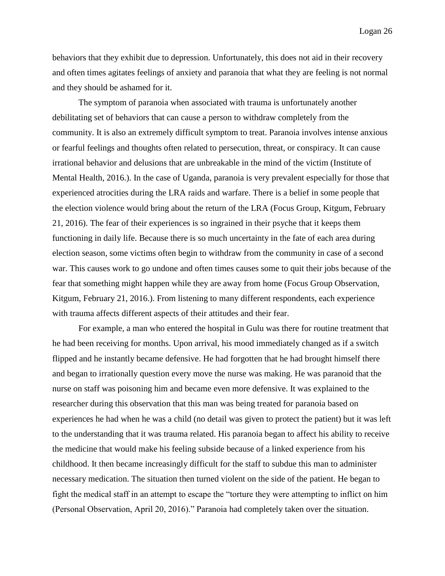behaviors that they exhibit due to depression. Unfortunately, this does not aid in their recovery and often times agitates feelings of anxiety and paranoia that what they are feeling is not normal and they should be ashamed for it.

The symptom of paranoia when associated with trauma is unfortunately another debilitating set of behaviors that can cause a person to withdraw completely from the community. It is also an extremely difficult symptom to treat. Paranoia involves intense anxious or fearful feelings and thoughts often related to persecution, threat, or conspiracy. It can cause irrational behavior and delusions that are unbreakable in the mind of the victim (Institute of Mental Health, 2016.). In the case of Uganda, paranoia is very prevalent especially for those that experienced atrocities during the LRA raids and warfare. There is a belief in some people that the election violence would bring about the return of the LRA (Focus Group, Kitgum, February 21, 2016). The fear of their experiences is so ingrained in their psyche that it keeps them functioning in daily life. Because there is so much uncertainty in the fate of each area during election season, some victims often begin to withdraw from the community in case of a second war. This causes work to go undone and often times causes some to quit their jobs because of the fear that something might happen while they are away from home (Focus Group Observation, Kitgum, February 21, 2016.). From listening to many different respondents, each experience with trauma affects different aspects of their attitudes and their fear.

For example, a man who entered the hospital in Gulu was there for routine treatment that he had been receiving for months. Upon arrival, his mood immediately changed as if a switch flipped and he instantly became defensive. He had forgotten that he had brought himself there and began to irrationally question every move the nurse was making. He was paranoid that the nurse on staff was poisoning him and became even more defensive. It was explained to the researcher during this observation that this man was being treated for paranoia based on experiences he had when he was a child (no detail was given to protect the patient) but it was left to the understanding that it was trauma related. His paranoia began to affect his ability to receive the medicine that would make his feeling subside because of a linked experience from his childhood. It then became increasingly difficult for the staff to subdue this man to administer necessary medication. The situation then turned violent on the side of the patient. He began to fight the medical staff in an attempt to escape the "torture they were attempting to inflict on him (Personal Observation, April 20, 2016)." Paranoia had completely taken over the situation.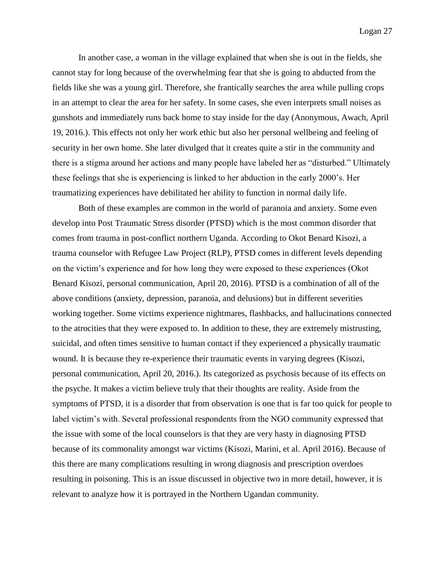In another case, a woman in the village explained that when she is out in the fields, she cannot stay for long because of the overwhelming fear that she is going to abducted from the fields like she was a young girl. Therefore, she frantically searches the area while pulling crops in an attempt to clear the area for her safety. In some cases, she even interprets small noises as gunshots and immediately runs back home to stay inside for the day (Anonymous, Awach, April 19, 2016.). This effects not only her work ethic but also her personal wellbeing and feeling of security in her own home. She later divulged that it creates quite a stir in the community and there is a stigma around her actions and many people have labeled her as "disturbed." Ultimately these feelings that she is experiencing is linked to her abduction in the early 2000's. Her traumatizing experiences have debilitated her ability to function in normal daily life.

Both of these examples are common in the world of paranoia and anxiety. Some even develop into Post Traumatic Stress disorder (PTSD) which is the most common disorder that comes from trauma in post-conflict northern Uganda. According to Okot Benard Kisozi, a trauma counselor with Refugee Law Project (RLP), PTSD comes in different levels depending on the victim's experience and for how long they were exposed to these experiences (Okot Benard Kisozi, personal communication, April 20, 2016). PTSD is a combination of all of the above conditions (anxiety, depression, paranoia, and delusions) but in different severities working together. Some victims experience nightmares, flashbacks, and hallucinations connected to the atrocities that they were exposed to. In addition to these, they are extremely mistrusting, suicidal, and often times sensitive to human contact if they experienced a physically traumatic wound. It is because they re-experience their traumatic events in varying degrees (Kisozi, personal communication, April 20, 2016.). Its categorized as psychosis because of its effects on the psyche. It makes a victim believe truly that their thoughts are reality. Aside from the symptoms of PTSD, it is a disorder that from observation is one that is far too quick for people to label victim's with. Several professional respondents from the NGO community expressed that the issue with some of the local counselors is that they are very hasty in diagnosing PTSD because of its commonality amongst war victims (Kisozi, Marini, et al. April 2016). Because of this there are many complications resulting in wrong diagnosis and prescription overdoes resulting in poisoning. This is an issue discussed in objective two in more detail, however, it is relevant to analyze how it is portrayed in the Northern Ugandan community.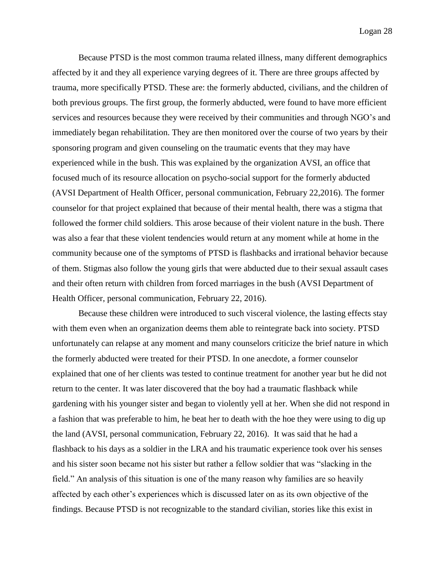Because PTSD is the most common trauma related illness, many different demographics affected by it and they all experience varying degrees of it. There are three groups affected by trauma, more specifically PTSD. These are: the formerly abducted, civilians, and the children of both previous groups. The first group, the formerly abducted, were found to have more efficient services and resources because they were received by their communities and through NGO's and immediately began rehabilitation. They are then monitored over the course of two years by their sponsoring program and given counseling on the traumatic events that they may have experienced while in the bush. This was explained by the organization AVSI, an office that focused much of its resource allocation on psycho-social support for the formerly abducted (AVSI Department of Health Officer, personal communication, February 22,2016). The former counselor for that project explained that because of their mental health, there was a stigma that followed the former child soldiers. This arose because of their violent nature in the bush. There was also a fear that these violent tendencies would return at any moment while at home in the community because one of the symptoms of PTSD is flashbacks and irrational behavior because of them. Stigmas also follow the young girls that were abducted due to their sexual assault cases and their often return with children from forced marriages in the bush (AVSI Department of Health Officer, personal communication, February 22, 2016).

Because these children were introduced to such visceral violence, the lasting effects stay with them even when an organization deems them able to reintegrate back into society. PTSD unfortunately can relapse at any moment and many counselors criticize the brief nature in which the formerly abducted were treated for their PTSD. In one anecdote, a former counselor explained that one of her clients was tested to continue treatment for another year but he did not return to the center. It was later discovered that the boy had a traumatic flashback while gardening with his younger sister and began to violently yell at her. When she did not respond in a fashion that was preferable to him, he beat her to death with the hoe they were using to dig up the land (AVSI, personal communication, February 22, 2016). It was said that he had a flashback to his days as a soldier in the LRA and his traumatic experience took over his senses and his sister soon became not his sister but rather a fellow soldier that was "slacking in the field." An analysis of this situation is one of the many reason why families are so heavily affected by each other's experiences which is discussed later on as its own objective of the findings. Because PTSD is not recognizable to the standard civilian, stories like this exist in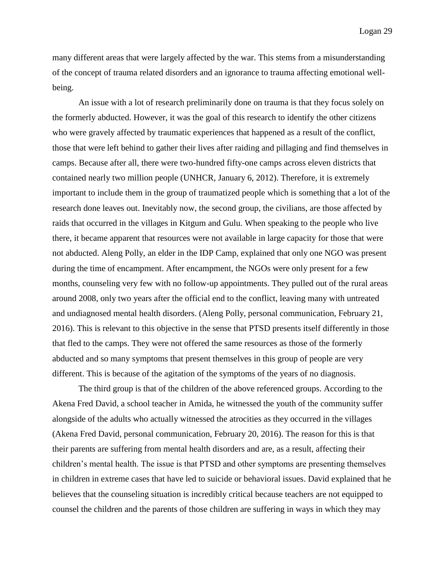many different areas that were largely affected by the war. This stems from a misunderstanding of the concept of trauma related disorders and an ignorance to trauma affecting emotional wellbeing.

An issue with a lot of research preliminarily done on trauma is that they focus solely on the formerly abducted. However, it was the goal of this research to identify the other citizens who were gravely affected by traumatic experiences that happened as a result of the conflict, those that were left behind to gather their lives after raiding and pillaging and find themselves in camps. Because after all, there were two-hundred fifty-one camps across eleven districts that contained nearly two million people (UNHCR, January 6, 2012). Therefore, it is extremely important to include them in the group of traumatized people which is something that a lot of the research done leaves out. Inevitably now, the second group, the civilians, are those affected by raids that occurred in the villages in Kitgum and Gulu. When speaking to the people who live there, it became apparent that resources were not available in large capacity for those that were not abducted. Aleng Polly, an elder in the IDP Camp, explained that only one NGO was present during the time of encampment. After encampment, the NGOs were only present for a few months, counseling very few with no follow-up appointments. They pulled out of the rural areas around 2008, only two years after the official end to the conflict, leaving many with untreated and undiagnosed mental health disorders. (Aleng Polly, personal communication, February 21, 2016). This is relevant to this objective in the sense that PTSD presents itself differently in those that fled to the camps. They were not offered the same resources as those of the formerly abducted and so many symptoms that present themselves in this group of people are very different. This is because of the agitation of the symptoms of the years of no diagnosis.

The third group is that of the children of the above referenced groups. According to the Akena Fred David, a school teacher in Amida, he witnessed the youth of the community suffer alongside of the adults who actually witnessed the atrocities as they occurred in the villages (Akena Fred David, personal communication, February 20, 2016). The reason for this is that their parents are suffering from mental health disorders and are, as a result, affecting their children's mental health. The issue is that PTSD and other symptoms are presenting themselves in children in extreme cases that have led to suicide or behavioral issues. David explained that he believes that the counseling situation is incredibly critical because teachers are not equipped to counsel the children and the parents of those children are suffering in ways in which they may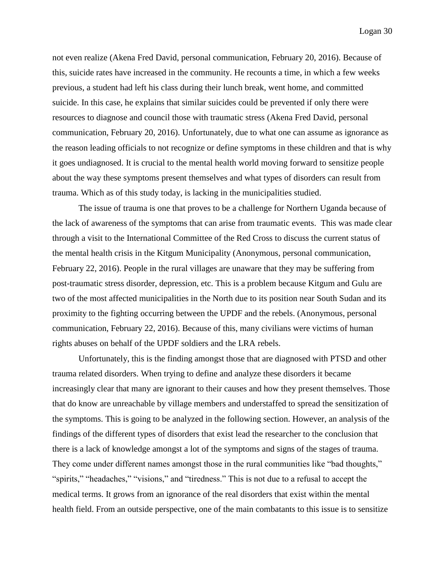not even realize (Akena Fred David, personal communication, February 20, 2016). Because of this, suicide rates have increased in the community. He recounts a time, in which a few weeks previous, a student had left his class during their lunch break, went home, and committed suicide. In this case, he explains that similar suicides could be prevented if only there were resources to diagnose and council those with traumatic stress (Akena Fred David, personal communication, February 20, 2016). Unfortunately, due to what one can assume as ignorance as the reason leading officials to not recognize or define symptoms in these children and that is why it goes undiagnosed. It is crucial to the mental health world moving forward to sensitize people about the way these symptoms present themselves and what types of disorders can result from trauma. Which as of this study today, is lacking in the municipalities studied.

The issue of trauma is one that proves to be a challenge for Northern Uganda because of the lack of awareness of the symptoms that can arise from traumatic events. This was made clear through a visit to the International Committee of the Red Cross to discuss the current status of the mental health crisis in the Kitgum Municipality (Anonymous, personal communication, February 22, 2016). People in the rural villages are unaware that they may be suffering from post-traumatic stress disorder, depression, etc. This is a problem because Kitgum and Gulu are two of the most affected municipalities in the North due to its position near South Sudan and its proximity to the fighting occurring between the UPDF and the rebels. (Anonymous, personal communication, February 22, 2016). Because of this, many civilians were victims of human rights abuses on behalf of the UPDF soldiers and the LRA rebels.

Unfortunately, this is the finding amongst those that are diagnosed with PTSD and other trauma related disorders. When trying to define and analyze these disorders it became increasingly clear that many are ignorant to their causes and how they present themselves. Those that do know are unreachable by village members and understaffed to spread the sensitization of the symptoms. This is going to be analyzed in the following section. However, an analysis of the findings of the different types of disorders that exist lead the researcher to the conclusion that there is a lack of knowledge amongst a lot of the symptoms and signs of the stages of trauma. They come under different names amongst those in the rural communities like "bad thoughts," "spirits," "headaches," "visions," and "tiredness." This is not due to a refusal to accept the medical terms. It grows from an ignorance of the real disorders that exist within the mental health field. From an outside perspective, one of the main combatants to this issue is to sensitize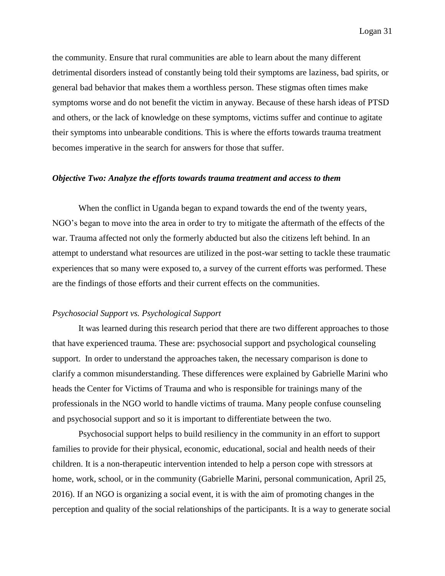the community. Ensure that rural communities are able to learn about the many different detrimental disorders instead of constantly being told their symptoms are laziness, bad spirits, or general bad behavior that makes them a worthless person. These stigmas often times make symptoms worse and do not benefit the victim in anyway. Because of these harsh ideas of PTSD and others, or the lack of knowledge on these symptoms, victims suffer and continue to agitate their symptoms into unbearable conditions. This is where the efforts towards trauma treatment becomes imperative in the search for answers for those that suffer.

#### *Objective Two: Analyze the efforts towards trauma treatment and access to them*

When the conflict in Uganda began to expand towards the end of the twenty years, NGO's began to move into the area in order to try to mitigate the aftermath of the effects of the war. Trauma affected not only the formerly abducted but also the citizens left behind. In an attempt to understand what resources are utilized in the post-war setting to tackle these traumatic experiences that so many were exposed to, a survey of the current efforts was performed. These are the findings of those efforts and their current effects on the communities.

#### *Psychosocial Support vs. Psychological Support*

It was learned during this research period that there are two different approaches to those that have experienced trauma. These are: psychosocial support and psychological counseling support. In order to understand the approaches taken, the necessary comparison is done to clarify a common misunderstanding. These differences were explained by Gabrielle Marini who heads the Center for Victims of Trauma and who is responsible for trainings many of the professionals in the NGO world to handle victims of trauma. Many people confuse counseling and psychosocial support and so it is important to differentiate between the two.

Psychosocial support helps to build resiliency in the community in an effort to support families to provide for their physical, economic, educational, social and health needs of their children. It is a non-therapeutic intervention intended to help a person cope with stressors at home, work, school, or in the community (Gabrielle Marini, personal communication, April 25, 2016). If an NGO is organizing a social event, it is with the aim of promoting changes in the perception and quality of the social relationships of the participants. It is a way to generate social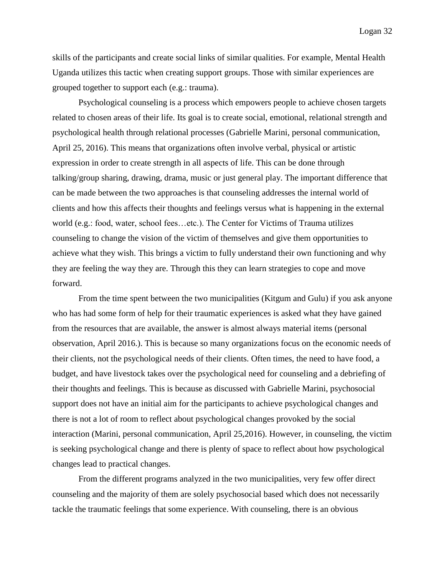skills of the participants and create social links of similar qualities. For example, Mental Health Uganda utilizes this tactic when creating support groups. Those with similar experiences are grouped together to support each (e.g.: trauma).

Psychological counseling is a process which empowers people to achieve chosen targets related to chosen areas of their life. Its goal is to create social, emotional, relational strength and psychological health through relational processes (Gabrielle Marini, personal communication, April 25, 2016). This means that organizations often involve verbal, physical or artistic expression in order to create strength in all aspects of life. This can be done through talking/group sharing, drawing, drama, music or just general play. The important difference that can be made between the two approaches is that counseling addresses the internal world of clients and how this affects their thoughts and feelings versus what is happening in the external world (e.g.: food, water, school fees…etc.). The Center for Victims of Trauma utilizes counseling to change the vision of the victim of themselves and give them opportunities to achieve what they wish. This brings a victim to fully understand their own functioning and why they are feeling the way they are. Through this they can learn strategies to cope and move forward.

From the time spent between the two municipalities (Kitgum and Gulu) if you ask anyone who has had some form of help for their traumatic experiences is asked what they have gained from the resources that are available, the answer is almost always material items (personal observation, April 2016.). This is because so many organizations focus on the economic needs of their clients, not the psychological needs of their clients. Often times, the need to have food, a budget, and have livestock takes over the psychological need for counseling and a debriefing of their thoughts and feelings. This is because as discussed with Gabrielle Marini, psychosocial support does not have an initial aim for the participants to achieve psychological changes and there is not a lot of room to reflect about psychological changes provoked by the social interaction (Marini, personal communication, April 25,2016). However, in counseling, the victim is seeking psychological change and there is plenty of space to reflect about how psychological changes lead to practical changes.

From the different programs analyzed in the two municipalities, very few offer direct counseling and the majority of them are solely psychosocial based which does not necessarily tackle the traumatic feelings that some experience. With counseling, there is an obvious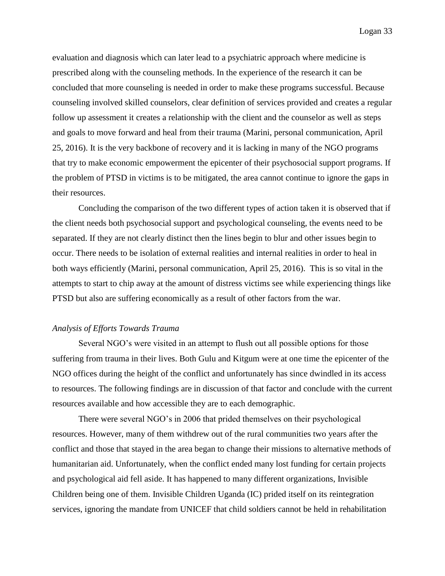evaluation and diagnosis which can later lead to a psychiatric approach where medicine is prescribed along with the counseling methods. In the experience of the research it can be concluded that more counseling is needed in order to make these programs successful. Because counseling involved skilled counselors, clear definition of services provided and creates a regular follow up assessment it creates a relationship with the client and the counselor as well as steps and goals to move forward and heal from their trauma (Marini, personal communication, April 25, 2016). It is the very backbone of recovery and it is lacking in many of the NGO programs that try to make economic empowerment the epicenter of their psychosocial support programs. If the problem of PTSD in victims is to be mitigated, the area cannot continue to ignore the gaps in their resources.

Concluding the comparison of the two different types of action taken it is observed that if the client needs both psychosocial support and psychological counseling, the events need to be separated. If they are not clearly distinct then the lines begin to blur and other issues begin to occur. There needs to be isolation of external realities and internal realities in order to heal in both ways efficiently (Marini, personal communication, April 25, 2016). This is so vital in the attempts to start to chip away at the amount of distress victims see while experiencing things like PTSD but also are suffering economically as a result of other factors from the war.

#### *Analysis of Efforts Towards Trauma*

Several NGO's were visited in an attempt to flush out all possible options for those suffering from trauma in their lives. Both Gulu and Kitgum were at one time the epicenter of the NGO offices during the height of the conflict and unfortunately has since dwindled in its access to resources. The following findings are in discussion of that factor and conclude with the current resources available and how accessible they are to each demographic.

There were several NGO's in 2006 that prided themselves on their psychological resources. However, many of them withdrew out of the rural communities two years after the conflict and those that stayed in the area began to change their missions to alternative methods of humanitarian aid. Unfortunately, when the conflict ended many lost funding for certain projects and psychological aid fell aside. It has happened to many different organizations, Invisible Children being one of them. Invisible Children Uganda (IC) prided itself on its reintegration services, ignoring the mandate from UNICEF that child soldiers cannot be held in rehabilitation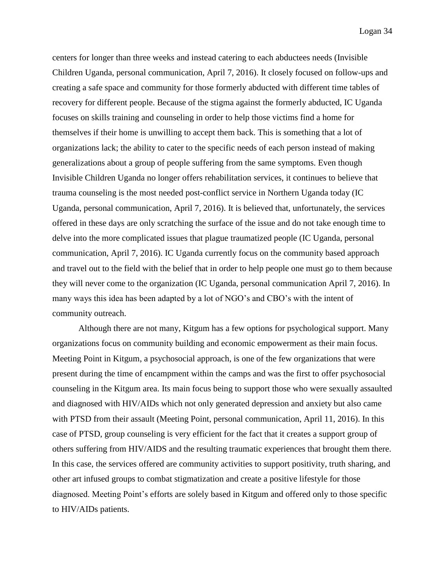centers for longer than three weeks and instead catering to each abductees needs (Invisible Children Uganda, personal communication, April 7, 2016). It closely focused on follow-ups and creating a safe space and community for those formerly abducted with different time tables of recovery for different people. Because of the stigma against the formerly abducted, IC Uganda focuses on skills training and counseling in order to help those victims find a home for themselves if their home is unwilling to accept them back. This is something that a lot of organizations lack; the ability to cater to the specific needs of each person instead of making generalizations about a group of people suffering from the same symptoms. Even though Invisible Children Uganda no longer offers rehabilitation services, it continues to believe that trauma counseling is the most needed post-conflict service in Northern Uganda today (IC Uganda, personal communication, April 7, 2016). It is believed that, unfortunately, the services offered in these days are only scratching the surface of the issue and do not take enough time to delve into the more complicated issues that plague traumatized people (IC Uganda, personal communication, April 7, 2016). IC Uganda currently focus on the community based approach and travel out to the field with the belief that in order to help people one must go to them because they will never come to the organization (IC Uganda, personal communication April 7, 2016). In many ways this idea has been adapted by a lot of NGO's and CBO's with the intent of community outreach.

Although there are not many, Kitgum has a few options for psychological support. Many organizations focus on community building and economic empowerment as their main focus. Meeting Point in Kitgum, a psychosocial approach, is one of the few organizations that were present during the time of encampment within the camps and was the first to offer psychosocial counseling in the Kitgum area. Its main focus being to support those who were sexually assaulted and diagnosed with HIV/AIDs which not only generated depression and anxiety but also came with PTSD from their assault (Meeting Point, personal communication, April 11, 2016). In this case of PTSD, group counseling is very efficient for the fact that it creates a support group of others suffering from HIV/AIDS and the resulting traumatic experiences that brought them there. In this case, the services offered are community activities to support positivity, truth sharing, and other art infused groups to combat stigmatization and create a positive lifestyle for those diagnosed. Meeting Point's efforts are solely based in Kitgum and offered only to those specific to HIV/AIDs patients.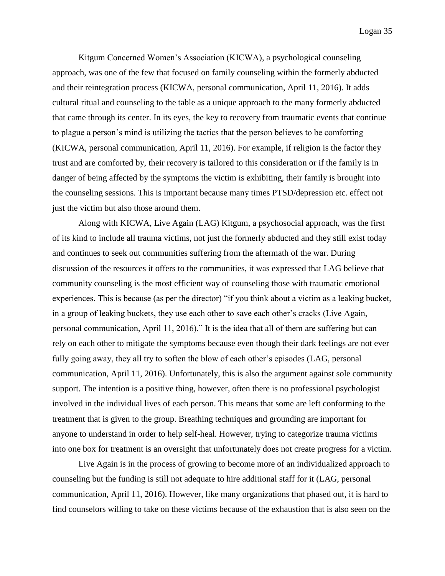Kitgum Concerned Women's Association (KICWA), a psychological counseling approach, was one of the few that focused on family counseling within the formerly abducted and their reintegration process (KICWA, personal communication, April 11, 2016). It adds cultural ritual and counseling to the table as a unique approach to the many formerly abducted that came through its center. In its eyes, the key to recovery from traumatic events that continue to plague a person's mind is utilizing the tactics that the person believes to be comforting (KICWA, personal communication, April 11, 2016). For example, if religion is the factor they trust and are comforted by, their recovery is tailored to this consideration or if the family is in danger of being affected by the symptoms the victim is exhibiting, their family is brought into the counseling sessions. This is important because many times PTSD/depression etc. effect not just the victim but also those around them.

Along with KICWA, Live Again (LAG) Kitgum, a psychosocial approach, was the first of its kind to include all trauma victims, not just the formerly abducted and they still exist today and continues to seek out communities suffering from the aftermath of the war. During discussion of the resources it offers to the communities, it was expressed that LAG believe that community counseling is the most efficient way of counseling those with traumatic emotional experiences. This is because (as per the director) "if you think about a victim as a leaking bucket, in a group of leaking buckets, they use each other to save each other's cracks (Live Again, personal communication, April 11, 2016)." It is the idea that all of them are suffering but can rely on each other to mitigate the symptoms because even though their dark feelings are not ever fully going away, they all try to soften the blow of each other's episodes (LAG, personal communication, April 11, 2016). Unfortunately, this is also the argument against sole community support. The intention is a positive thing, however, often there is no professional psychologist involved in the individual lives of each person. This means that some are left conforming to the treatment that is given to the group. Breathing techniques and grounding are important for anyone to understand in order to help self-heal. However, trying to categorize trauma victims into one box for treatment is an oversight that unfortunately does not create progress for a victim.

Live Again is in the process of growing to become more of an individualized approach to counseling but the funding is still not adequate to hire additional staff for it (LAG, personal communication, April 11, 2016). However, like many organizations that phased out, it is hard to find counselors willing to take on these victims because of the exhaustion that is also seen on the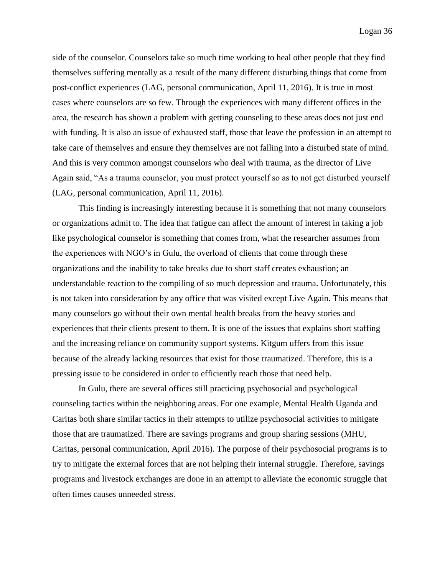side of the counselor. Counselors take so much time working to heal other people that they find themselves suffering mentally as a result of the many different disturbing things that come from post-conflict experiences (LAG, personal communication, April 11, 2016). It is true in most cases where counselors are so few. Through the experiences with many different offices in the area, the research has shown a problem with getting counseling to these areas does not just end with funding. It is also an issue of exhausted staff, those that leave the profession in an attempt to take care of themselves and ensure they themselves are not falling into a disturbed state of mind. And this is very common amongst counselors who deal with trauma, as the director of Live Again said, "As a trauma counselor, you must protect yourself so as to not get disturbed yourself (LAG, personal communication, April 11, 2016).

This finding is increasingly interesting because it is something that not many counselors or organizations admit to. The idea that fatigue can affect the amount of interest in taking a job like psychological counselor is something that comes from, what the researcher assumes from the experiences with NGO's in Gulu, the overload of clients that come through these organizations and the inability to take breaks due to short staff creates exhaustion; an understandable reaction to the compiling of so much depression and trauma. Unfortunately, this is not taken into consideration by any office that was visited except Live Again. This means that many counselors go without their own mental health breaks from the heavy stories and experiences that their clients present to them. It is one of the issues that explains short staffing and the increasing reliance on community support systems. Kitgum uffers from this issue because of the already lacking resources that exist for those traumatized. Therefore, this is a pressing issue to be considered in order to efficiently reach those that need help.

In Gulu, there are several offices still practicing psychosocial and psychological counseling tactics within the neighboring areas. For one example, Mental Health Uganda and Caritas both share similar tactics in their attempts to utilize psychosocial activities to mitigate those that are traumatized. There are savings programs and group sharing sessions (MHU, Caritas, personal communication, April 2016). The purpose of their psychosocial programs is to try to mitigate the external forces that are not helping their internal struggle. Therefore, savings programs and livestock exchanges are done in an attempt to alleviate the economic struggle that often times causes unneeded stress.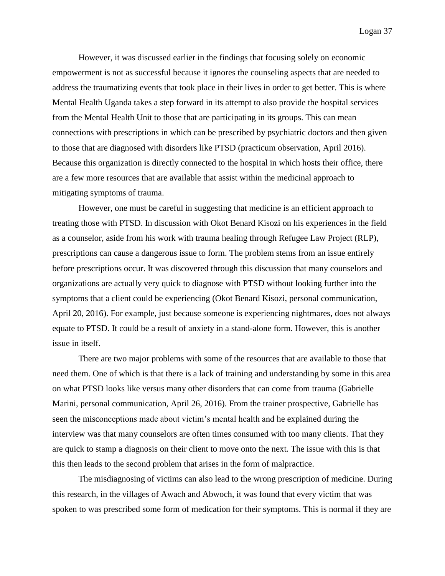However, it was discussed earlier in the findings that focusing solely on economic empowerment is not as successful because it ignores the counseling aspects that are needed to address the traumatizing events that took place in their lives in order to get better. This is where Mental Health Uganda takes a step forward in its attempt to also provide the hospital services from the Mental Health Unit to those that are participating in its groups. This can mean connections with prescriptions in which can be prescribed by psychiatric doctors and then given to those that are diagnosed with disorders like PTSD (practicum observation, April 2016). Because this organization is directly connected to the hospital in which hosts their office, there are a few more resources that are available that assist within the medicinal approach to mitigating symptoms of trauma.

However, one must be careful in suggesting that medicine is an efficient approach to treating those with PTSD. In discussion with Okot Benard Kisozi on his experiences in the field as a counselor, aside from his work with trauma healing through Refugee Law Project (RLP), prescriptions can cause a dangerous issue to form. The problem stems from an issue entirely before prescriptions occur. It was discovered through this discussion that many counselors and organizations are actually very quick to diagnose with PTSD without looking further into the symptoms that a client could be experiencing (Okot Benard Kisozi, personal communication, April 20, 2016). For example, just because someone is experiencing nightmares, does not always equate to PTSD. It could be a result of anxiety in a stand-alone form. However, this is another issue in itself.

There are two major problems with some of the resources that are available to those that need them. One of which is that there is a lack of training and understanding by some in this area on what PTSD looks like versus many other disorders that can come from trauma (Gabrielle Marini, personal communication, April 26, 2016). From the trainer prospective, Gabrielle has seen the misconceptions made about victim's mental health and he explained during the interview was that many counselors are often times consumed with too many clients. That they are quick to stamp a diagnosis on their client to move onto the next. The issue with this is that this then leads to the second problem that arises in the form of malpractice.

The misdiagnosing of victims can also lead to the wrong prescription of medicine. During this research, in the villages of Awach and Abwoch, it was found that every victim that was spoken to was prescribed some form of medication for their symptoms. This is normal if they are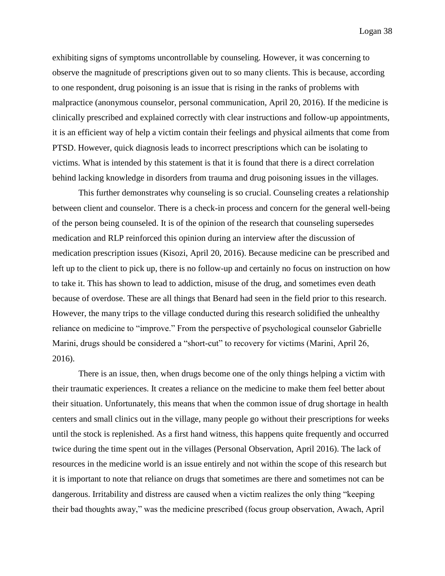exhibiting signs of symptoms uncontrollable by counseling. However, it was concerning to observe the magnitude of prescriptions given out to so many clients. This is because, according to one respondent, drug poisoning is an issue that is rising in the ranks of problems with malpractice (anonymous counselor, personal communication, April 20, 2016). If the medicine is clinically prescribed and explained correctly with clear instructions and follow-up appointments, it is an efficient way of help a victim contain their feelings and physical ailments that come from PTSD. However, quick diagnosis leads to incorrect prescriptions which can be isolating to victims. What is intended by this statement is that it is found that there is a direct correlation behind lacking knowledge in disorders from trauma and drug poisoning issues in the villages.

This further demonstrates why counseling is so crucial. Counseling creates a relationship between client and counselor. There is a check-in process and concern for the general well-being of the person being counseled. It is of the opinion of the research that counseling supersedes medication and RLP reinforced this opinion during an interview after the discussion of medication prescription issues (Kisozi, April 20, 2016). Because medicine can be prescribed and left up to the client to pick up, there is no follow-up and certainly no focus on instruction on how to take it. This has shown to lead to addiction, misuse of the drug, and sometimes even death because of overdose. These are all things that Benard had seen in the field prior to this research. However, the many trips to the village conducted during this research solidified the unhealthy reliance on medicine to "improve." From the perspective of psychological counselor Gabrielle Marini, drugs should be considered a "short-cut" to recovery for victims (Marini, April 26, 2016).

There is an issue, then, when drugs become one of the only things helping a victim with their traumatic experiences. It creates a reliance on the medicine to make them feel better about their situation. Unfortunately, this means that when the common issue of drug shortage in health centers and small clinics out in the village, many people go without their prescriptions for weeks until the stock is replenished. As a first hand witness, this happens quite frequently and occurred twice during the time spent out in the villages (Personal Observation, April 2016). The lack of resources in the medicine world is an issue entirely and not within the scope of this research but it is important to note that reliance on drugs that sometimes are there and sometimes not can be dangerous. Irritability and distress are caused when a victim realizes the only thing "keeping their bad thoughts away," was the medicine prescribed (focus group observation, Awach, April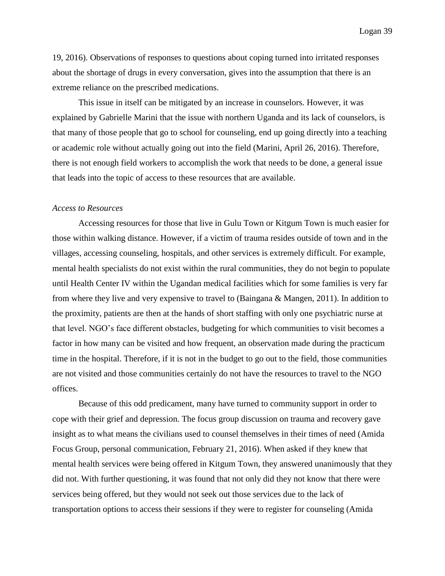19, 2016). Observations of responses to questions about coping turned into irritated responses about the shortage of drugs in every conversation, gives into the assumption that there is an extreme reliance on the prescribed medications.

This issue in itself can be mitigated by an increase in counselors. However, it was explained by Gabrielle Marini that the issue with northern Uganda and its lack of counselors, is that many of those people that go to school for counseling, end up going directly into a teaching or academic role without actually going out into the field (Marini, April 26, 2016). Therefore, there is not enough field workers to accomplish the work that needs to be done, a general issue that leads into the topic of access to these resources that are available.

#### *Access to Resources*

Accessing resources for those that live in Gulu Town or Kitgum Town is much easier for those within walking distance. However, if a victim of trauma resides outside of town and in the villages, accessing counseling, hospitals, and other services is extremely difficult. For example, mental health specialists do not exist within the rural communities, they do not begin to populate until Health Center IV within the Ugandan medical facilities which for some families is very far from where they live and very expensive to travel to (Baingana & Mangen, 2011). In addition to the proximity, patients are then at the hands of short staffing with only one psychiatric nurse at that level. NGO's face different obstacles, budgeting for which communities to visit becomes a factor in how many can be visited and how frequent, an observation made during the practicum time in the hospital. Therefore, if it is not in the budget to go out to the field, those communities are not visited and those communities certainly do not have the resources to travel to the NGO offices.

Because of this odd predicament, many have turned to community support in order to cope with their grief and depression. The focus group discussion on trauma and recovery gave insight as to what means the civilians used to counsel themselves in their times of need (Amida Focus Group, personal communication, February 21, 2016). When asked if they knew that mental health services were being offered in Kitgum Town, they answered unanimously that they did not. With further questioning, it was found that not only did they not know that there were services being offered, but they would not seek out those services due to the lack of transportation options to access their sessions if they were to register for counseling (Amida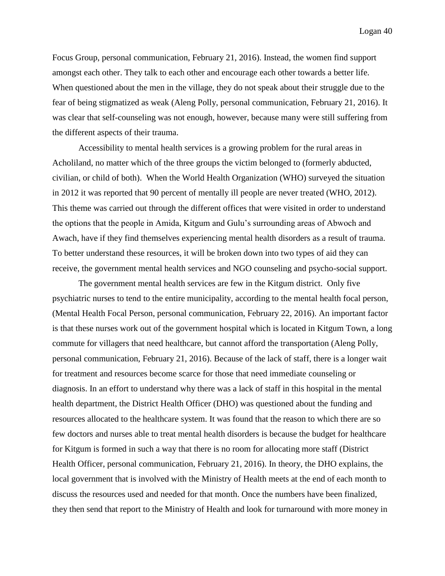Focus Group, personal communication, February 21, 2016). Instead, the women find support amongst each other. They talk to each other and encourage each other towards a better life. When questioned about the men in the village, they do not speak about their struggle due to the fear of being stigmatized as weak (Aleng Polly, personal communication, February 21, 2016). It was clear that self-counseling was not enough, however, because many were still suffering from the different aspects of their trauma.

Accessibility to mental health services is a growing problem for the rural areas in Acholiland, no matter which of the three groups the victim belonged to (formerly abducted, civilian, or child of both). When the World Health Organization (WHO) surveyed the situation in 2012 it was reported that 90 percent of mentally ill people are never treated (WHO, 2012). This theme was carried out through the different offices that were visited in order to understand the options that the people in Amida, Kitgum and Gulu's surrounding areas of Abwoch and Awach, have if they find themselves experiencing mental health disorders as a result of trauma. To better understand these resources, it will be broken down into two types of aid they can receive, the government mental health services and NGO counseling and psycho-social support.

The government mental health services are few in the Kitgum district. Only five psychiatric nurses to tend to the entire municipality, according to the mental health focal person, (Mental Health Focal Person, personal communication, February 22, 2016). An important factor is that these nurses work out of the government hospital which is located in Kitgum Town, a long commute for villagers that need healthcare, but cannot afford the transportation (Aleng Polly, personal communication, February 21, 2016). Because of the lack of staff, there is a longer wait for treatment and resources become scarce for those that need immediate counseling or diagnosis. In an effort to understand why there was a lack of staff in this hospital in the mental health department, the District Health Officer (DHO) was questioned about the funding and resources allocated to the healthcare system. It was found that the reason to which there are so few doctors and nurses able to treat mental health disorders is because the budget for healthcare for Kitgum is formed in such a way that there is no room for allocating more staff (District Health Officer, personal communication, February 21, 2016). In theory, the DHO explains, the local government that is involved with the Ministry of Health meets at the end of each month to discuss the resources used and needed for that month. Once the numbers have been finalized, they then send that report to the Ministry of Health and look for turnaround with more money in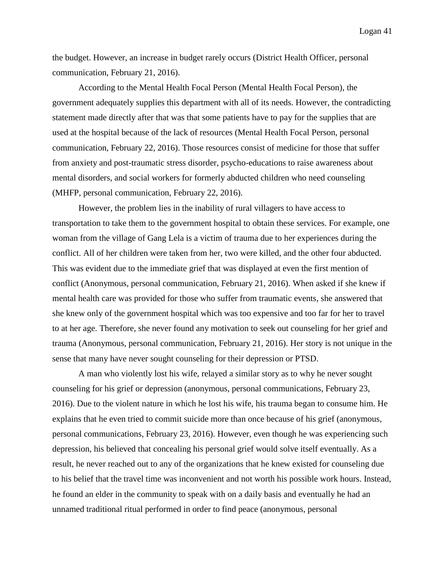the budget. However, an increase in budget rarely occurs (District Health Officer, personal communication, February 21, 2016).

According to the Mental Health Focal Person (Mental Health Focal Person), the government adequately supplies this department with all of its needs. However, the contradicting statement made directly after that was that some patients have to pay for the supplies that are used at the hospital because of the lack of resources (Mental Health Focal Person, personal communication, February 22, 2016). Those resources consist of medicine for those that suffer from anxiety and post-traumatic stress disorder, psycho-educations to raise awareness about mental disorders, and social workers for formerly abducted children who need counseling (MHFP, personal communication, February 22, 2016).

However, the problem lies in the inability of rural villagers to have access to transportation to take them to the government hospital to obtain these services. For example, one woman from the village of Gang Lela is a victim of trauma due to her experiences during the conflict. All of her children were taken from her, two were killed, and the other four abducted. This was evident due to the immediate grief that was displayed at even the first mention of conflict (Anonymous, personal communication, February 21, 2016). When asked if she knew if mental health care was provided for those who suffer from traumatic events, she answered that she knew only of the government hospital which was too expensive and too far for her to travel to at her age. Therefore, she never found any motivation to seek out counseling for her grief and trauma (Anonymous, personal communication, February 21, 2016). Her story is not unique in the sense that many have never sought counseling for their depression or PTSD.

A man who violently lost his wife, relayed a similar story as to why he never sought counseling for his grief or depression (anonymous, personal communications, February 23, 2016). Due to the violent nature in which he lost his wife, his trauma began to consume him. He explains that he even tried to commit suicide more than once because of his grief (anonymous, personal communications, February 23, 2016). However, even though he was experiencing such depression, his believed that concealing his personal grief would solve itself eventually. As a result, he never reached out to any of the organizations that he knew existed for counseling due to his belief that the travel time was inconvenient and not worth his possible work hours. Instead, he found an elder in the community to speak with on a daily basis and eventually he had an unnamed traditional ritual performed in order to find peace (anonymous, personal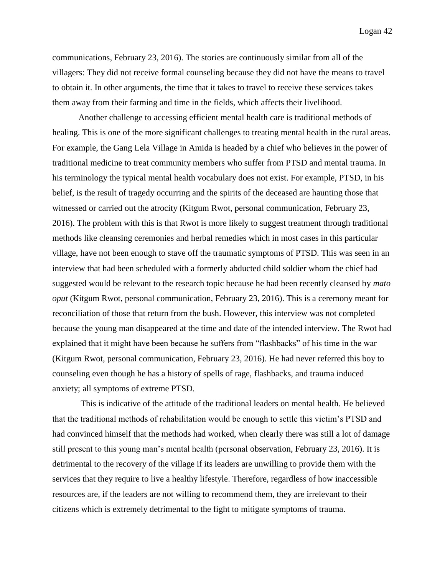communications, February 23, 2016). The stories are continuously similar from all of the villagers: They did not receive formal counseling because they did not have the means to travel to obtain it. In other arguments, the time that it takes to travel to receive these services takes them away from their farming and time in the fields, which affects their livelihood.

Another challenge to accessing efficient mental health care is traditional methods of healing. This is one of the more significant challenges to treating mental health in the rural areas. For example, the Gang Lela Village in Amida is headed by a chief who believes in the power of traditional medicine to treat community members who suffer from PTSD and mental trauma. In his terminology the typical mental health vocabulary does not exist. For example, PTSD, in his belief, is the result of tragedy occurring and the spirits of the deceased are haunting those that witnessed or carried out the atrocity (Kitgum Rwot, personal communication, February 23, 2016). The problem with this is that Rwot is more likely to suggest treatment through traditional methods like cleansing ceremonies and herbal remedies which in most cases in this particular village, have not been enough to stave off the traumatic symptoms of PTSD. This was seen in an interview that had been scheduled with a formerly abducted child soldier whom the chief had suggested would be relevant to the research topic because he had been recently cleansed by *mato oput* (Kitgum Rwot, personal communication, February 23, 2016). This is a ceremony meant for reconciliation of those that return from the bush. However, this interview was not completed because the young man disappeared at the time and date of the intended interview. The Rwot had explained that it might have been because he suffers from "flashbacks" of his time in the war (Kitgum Rwot, personal communication, February 23, 2016). He had never referred this boy to counseling even though he has a history of spells of rage, flashbacks, and trauma induced anxiety; all symptoms of extreme PTSD.

This is indicative of the attitude of the traditional leaders on mental health. He believed that the traditional methods of rehabilitation would be enough to settle this victim's PTSD and had convinced himself that the methods had worked, when clearly there was still a lot of damage still present to this young man's mental health (personal observation, February 23, 2016). It is detrimental to the recovery of the village if its leaders are unwilling to provide them with the services that they require to live a healthy lifestyle. Therefore, regardless of how inaccessible resources are, if the leaders are not willing to recommend them, they are irrelevant to their citizens which is extremely detrimental to the fight to mitigate symptoms of trauma.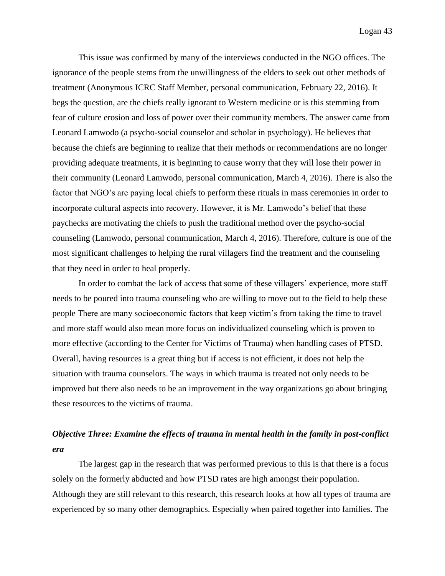This issue was confirmed by many of the interviews conducted in the NGO offices. The ignorance of the people stems from the unwillingness of the elders to seek out other methods of treatment (Anonymous ICRC Staff Member, personal communication, February 22, 2016). It begs the question, are the chiefs really ignorant to Western medicine or is this stemming from fear of culture erosion and loss of power over their community members. The answer came from Leonard Lamwodo (a psycho-social counselor and scholar in psychology). He believes that because the chiefs are beginning to realize that their methods or recommendations are no longer providing adequate treatments, it is beginning to cause worry that they will lose their power in their community (Leonard Lamwodo, personal communication, March 4, 2016). There is also the factor that NGO's are paying local chiefs to perform these rituals in mass ceremonies in order to incorporate cultural aspects into recovery. However, it is Mr. Lamwodo's belief that these paychecks are motivating the chiefs to push the traditional method over the psycho-social counseling (Lamwodo, personal communication, March 4, 2016). Therefore, culture is one of the most significant challenges to helping the rural villagers find the treatment and the counseling that they need in order to heal properly.

In order to combat the lack of access that some of these villagers' experience, more staff needs to be poured into trauma counseling who are willing to move out to the field to help these people There are many socioeconomic factors that keep victim's from taking the time to travel and more staff would also mean more focus on individualized counseling which is proven to more effective (according to the Center for Victims of Trauma) when handling cases of PTSD. Overall, having resources is a great thing but if access is not efficient, it does not help the situation with trauma counselors. The ways in which trauma is treated not only needs to be improved but there also needs to be an improvement in the way organizations go about bringing these resources to the victims of trauma.

# *Objective Three: Examine the effects of trauma in mental health in the family in post-conflict era*

The largest gap in the research that was performed previous to this is that there is a focus solely on the formerly abducted and how PTSD rates are high amongst their population. Although they are still relevant to this research, this research looks at how all types of trauma are experienced by so many other demographics. Especially when paired together into families. The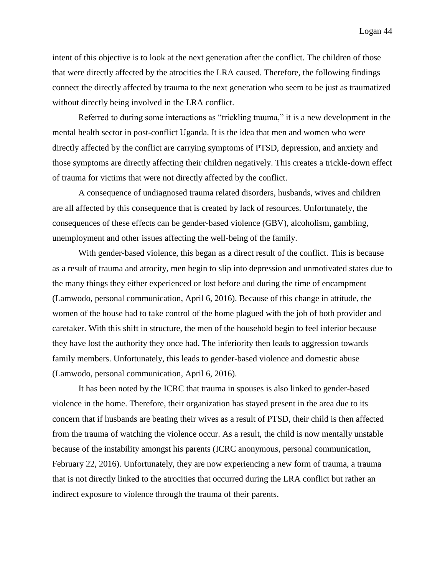intent of this objective is to look at the next generation after the conflict. The children of those that were directly affected by the atrocities the LRA caused. Therefore, the following findings connect the directly affected by trauma to the next generation who seem to be just as traumatized without directly being involved in the LRA conflict.

Referred to during some interactions as "trickling trauma," it is a new development in the mental health sector in post-conflict Uganda. It is the idea that men and women who were directly affected by the conflict are carrying symptoms of PTSD, depression, and anxiety and those symptoms are directly affecting their children negatively. This creates a trickle-down effect of trauma for victims that were not directly affected by the conflict.

A consequence of undiagnosed trauma related disorders, husbands, wives and children are all affected by this consequence that is created by lack of resources. Unfortunately, the consequences of these effects can be gender-based violence (GBV), alcoholism, gambling, unemployment and other issues affecting the well-being of the family.

With gender-based violence, this began as a direct result of the conflict. This is because as a result of trauma and atrocity, men begin to slip into depression and unmotivated states due to the many things they either experienced or lost before and during the time of encampment (Lamwodo, personal communication, April 6, 2016). Because of this change in attitude, the women of the house had to take control of the home plagued with the job of both provider and caretaker. With this shift in structure, the men of the household begin to feel inferior because they have lost the authority they once had. The inferiority then leads to aggression towards family members. Unfortunately, this leads to gender-based violence and domestic abuse (Lamwodo, personal communication, April 6, 2016).

It has been noted by the ICRC that trauma in spouses is also linked to gender-based violence in the home. Therefore, their organization has stayed present in the area due to its concern that if husbands are beating their wives as a result of PTSD, their child is then affected from the trauma of watching the violence occur. As a result, the child is now mentally unstable because of the instability amongst his parents (ICRC anonymous, personal communication, February 22, 2016). Unfortunately, they are now experiencing a new form of trauma, a trauma that is not directly linked to the atrocities that occurred during the LRA conflict but rather an indirect exposure to violence through the trauma of their parents.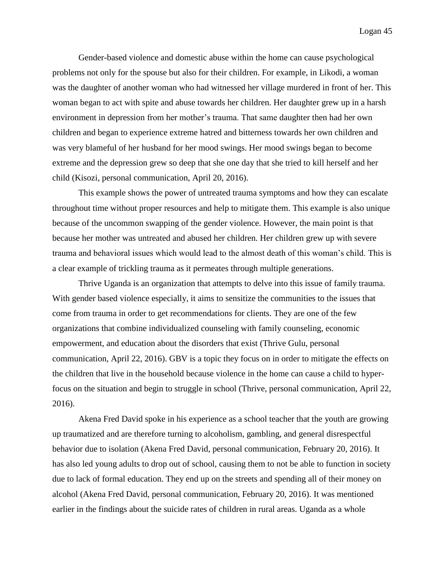Gender-based violence and domestic abuse within the home can cause psychological problems not only for the spouse but also for their children. For example, in Likodi, a woman was the daughter of another woman who had witnessed her village murdered in front of her. This woman began to act with spite and abuse towards her children. Her daughter grew up in a harsh environment in depression from her mother's trauma. That same daughter then had her own children and began to experience extreme hatred and bitterness towards her own children and was very blameful of her husband for her mood swings. Her mood swings began to become extreme and the depression grew so deep that she one day that she tried to kill herself and her child (Kisozi, personal communication, April 20, 2016).

This example shows the power of untreated trauma symptoms and how they can escalate throughout time without proper resources and help to mitigate them. This example is also unique because of the uncommon swapping of the gender violence. However, the main point is that because her mother was untreated and abused her children. Her children grew up with severe trauma and behavioral issues which would lead to the almost death of this woman's child. This is a clear example of trickling trauma as it permeates through multiple generations.

Thrive Uganda is an organization that attempts to delve into this issue of family trauma. With gender based violence especially, it aims to sensitize the communities to the issues that come from trauma in order to get recommendations for clients. They are one of the few organizations that combine individualized counseling with family counseling, economic empowerment, and education about the disorders that exist (Thrive Gulu, personal communication, April 22, 2016). GBV is a topic they focus on in order to mitigate the effects on the children that live in the household because violence in the home can cause a child to hyperfocus on the situation and begin to struggle in school (Thrive, personal communication, April 22, 2016).

Akena Fred David spoke in his experience as a school teacher that the youth are growing up traumatized and are therefore turning to alcoholism, gambling, and general disrespectful behavior due to isolation (Akena Fred David, personal communication, February 20, 2016). It has also led young adults to drop out of school, causing them to not be able to function in society due to lack of formal education. They end up on the streets and spending all of their money on alcohol (Akena Fred David, personal communication, February 20, 2016). It was mentioned earlier in the findings about the suicide rates of children in rural areas. Uganda as a whole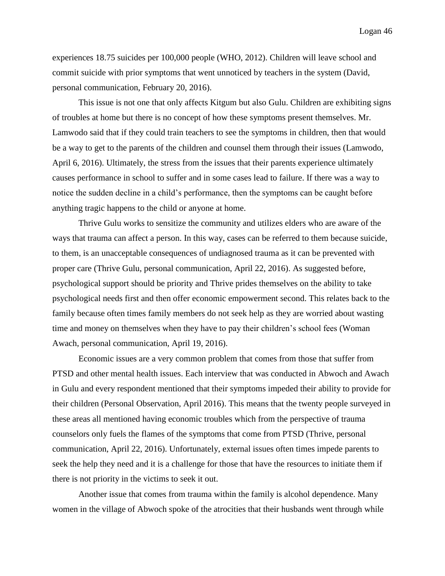experiences 18.75 suicides per 100,000 people (WHO, 2012). Children will leave school and commit suicide with prior symptoms that went unnoticed by teachers in the system (David, personal communication, February 20, 2016).

This issue is not one that only affects Kitgum but also Gulu. Children are exhibiting signs of troubles at home but there is no concept of how these symptoms present themselves. Mr. Lamwodo said that if they could train teachers to see the symptoms in children, then that would be a way to get to the parents of the children and counsel them through their issues (Lamwodo, April 6, 2016). Ultimately, the stress from the issues that their parents experience ultimately causes performance in school to suffer and in some cases lead to failure. If there was a way to notice the sudden decline in a child's performance, then the symptoms can be caught before anything tragic happens to the child or anyone at home.

Thrive Gulu works to sensitize the community and utilizes elders who are aware of the ways that trauma can affect a person. In this way, cases can be referred to them because suicide, to them, is an unacceptable consequences of undiagnosed trauma as it can be prevented with proper care (Thrive Gulu, personal communication, April 22, 2016). As suggested before, psychological support should be priority and Thrive prides themselves on the ability to take psychological needs first and then offer economic empowerment second. This relates back to the family because often times family members do not seek help as they are worried about wasting time and money on themselves when they have to pay their children's school fees (Woman Awach, personal communication, April 19, 2016).

Economic issues are a very common problem that comes from those that suffer from PTSD and other mental health issues. Each interview that was conducted in Abwoch and Awach in Gulu and every respondent mentioned that their symptoms impeded their ability to provide for their children (Personal Observation, April 2016). This means that the twenty people surveyed in these areas all mentioned having economic troubles which from the perspective of trauma counselors only fuels the flames of the symptoms that come from PTSD (Thrive, personal communication, April 22, 2016). Unfortunately, external issues often times impede parents to seek the help they need and it is a challenge for those that have the resources to initiate them if there is not priority in the victims to seek it out.

Another issue that comes from trauma within the family is alcohol dependence. Many women in the village of Abwoch spoke of the atrocities that their husbands went through while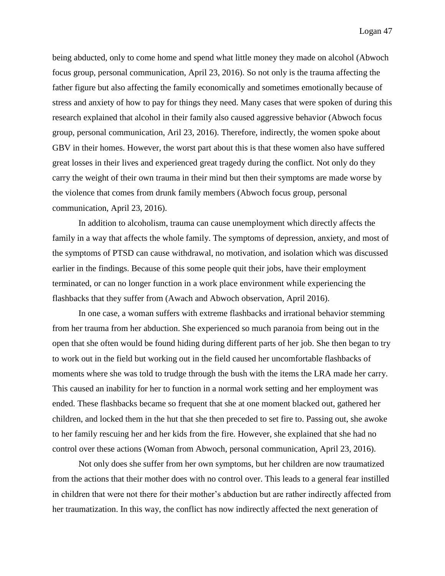being abducted, only to come home and spend what little money they made on alcohol (Abwoch focus group, personal communication, April 23, 2016). So not only is the trauma affecting the father figure but also affecting the family economically and sometimes emotionally because of stress and anxiety of how to pay for things they need. Many cases that were spoken of during this research explained that alcohol in their family also caused aggressive behavior (Abwoch focus group, personal communication, Aril 23, 2016). Therefore, indirectly, the women spoke about GBV in their homes. However, the worst part about this is that these women also have suffered great losses in their lives and experienced great tragedy during the conflict. Not only do they carry the weight of their own trauma in their mind but then their symptoms are made worse by the violence that comes from drunk family members (Abwoch focus group, personal communication, April 23, 2016).

In addition to alcoholism, trauma can cause unemployment which directly affects the family in a way that affects the whole family. The symptoms of depression, anxiety, and most of the symptoms of PTSD can cause withdrawal, no motivation, and isolation which was discussed earlier in the findings. Because of this some people quit their jobs, have their employment terminated, or can no longer function in a work place environment while experiencing the flashbacks that they suffer from (Awach and Abwoch observation, April 2016).

In one case, a woman suffers with extreme flashbacks and irrational behavior stemming from her trauma from her abduction. She experienced so much paranoia from being out in the open that she often would be found hiding during different parts of her job. She then began to try to work out in the field but working out in the field caused her uncomfortable flashbacks of moments where she was told to trudge through the bush with the items the LRA made her carry. This caused an inability for her to function in a normal work setting and her employment was ended. These flashbacks became so frequent that she at one moment blacked out, gathered her children, and locked them in the hut that she then preceded to set fire to. Passing out, she awoke to her family rescuing her and her kids from the fire. However, she explained that she had no control over these actions (Woman from Abwoch, personal communication, April 23, 2016).

Not only does she suffer from her own symptoms, but her children are now traumatized from the actions that their mother does with no control over. This leads to a general fear instilled in children that were not there for their mother's abduction but are rather indirectly affected from her traumatization. In this way, the conflict has now indirectly affected the next generation of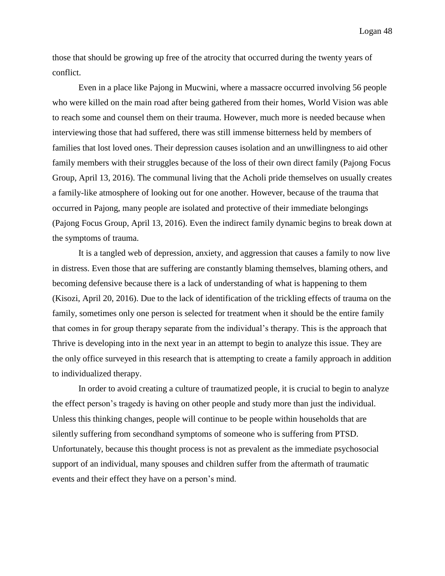those that should be growing up free of the atrocity that occurred during the twenty years of conflict.

Even in a place like Pajong in Mucwini, where a massacre occurred involving 56 people who were killed on the main road after being gathered from their homes, World Vision was able to reach some and counsel them on their trauma. However, much more is needed because when interviewing those that had suffered, there was still immense bitterness held by members of families that lost loved ones. Their depression causes isolation and an unwillingness to aid other family members with their struggles because of the loss of their own direct family (Pajong Focus Group, April 13, 2016). The communal living that the Acholi pride themselves on usually creates a family-like atmosphere of looking out for one another. However, because of the trauma that occurred in Pajong, many people are isolated and protective of their immediate belongings (Pajong Focus Group, April 13, 2016). Even the indirect family dynamic begins to break down at the symptoms of trauma.

It is a tangled web of depression, anxiety, and aggression that causes a family to now live in distress. Even those that are suffering are constantly blaming themselves, blaming others, and becoming defensive because there is a lack of understanding of what is happening to them (Kisozi, April 20, 2016). Due to the lack of identification of the trickling effects of trauma on the family, sometimes only one person is selected for treatment when it should be the entire family that comes in for group therapy separate from the individual's therapy. This is the approach that Thrive is developing into in the next year in an attempt to begin to analyze this issue. They are the only office surveyed in this research that is attempting to create a family approach in addition to individualized therapy.

In order to avoid creating a culture of traumatized people, it is crucial to begin to analyze the effect person's tragedy is having on other people and study more than just the individual. Unless this thinking changes, people will continue to be people within households that are silently suffering from secondhand symptoms of someone who is suffering from PTSD. Unfortunately, because this thought process is not as prevalent as the immediate psychosocial support of an individual, many spouses and children suffer from the aftermath of traumatic events and their effect they have on a person's mind.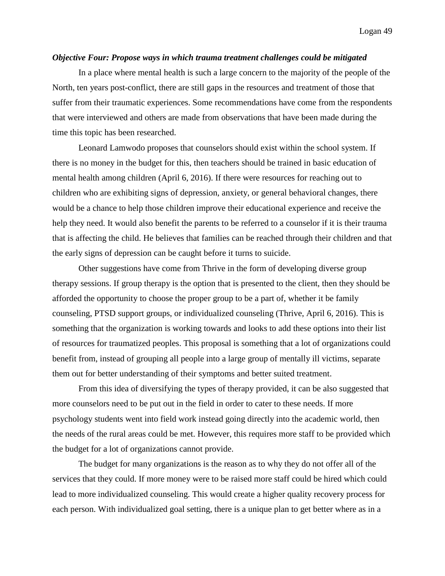#### *Objective Four: Propose ways in which trauma treatment challenges could be mitigated*

In a place where mental health is such a large concern to the majority of the people of the North, ten years post-conflict, there are still gaps in the resources and treatment of those that suffer from their traumatic experiences. Some recommendations have come from the respondents that were interviewed and others are made from observations that have been made during the time this topic has been researched.

Leonard Lamwodo proposes that counselors should exist within the school system. If there is no money in the budget for this, then teachers should be trained in basic education of mental health among children (April 6, 2016). If there were resources for reaching out to children who are exhibiting signs of depression, anxiety, or general behavioral changes, there would be a chance to help those children improve their educational experience and receive the help they need. It would also benefit the parents to be referred to a counselor if it is their trauma that is affecting the child. He believes that families can be reached through their children and that the early signs of depression can be caught before it turns to suicide.

Other suggestions have come from Thrive in the form of developing diverse group therapy sessions. If group therapy is the option that is presented to the client, then they should be afforded the opportunity to choose the proper group to be a part of, whether it be family counseling, PTSD support groups, or individualized counseling (Thrive, April 6, 2016). This is something that the organization is working towards and looks to add these options into their list of resources for traumatized peoples. This proposal is something that a lot of organizations could benefit from, instead of grouping all people into a large group of mentally ill victims, separate them out for better understanding of their symptoms and better suited treatment.

From this idea of diversifying the types of therapy provided, it can be also suggested that more counselors need to be put out in the field in order to cater to these needs. If more psychology students went into field work instead going directly into the academic world, then the needs of the rural areas could be met. However, this requires more staff to be provided which the budget for a lot of organizations cannot provide.

The budget for many organizations is the reason as to why they do not offer all of the services that they could. If more money were to be raised more staff could be hired which could lead to more individualized counseling. This would create a higher quality recovery process for each person. With individualized goal setting, there is a unique plan to get better where as in a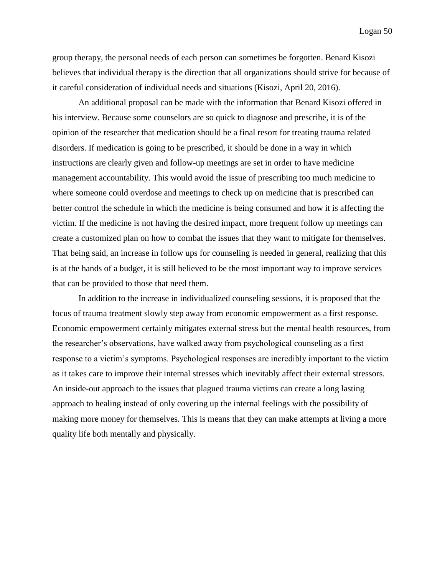group therapy, the personal needs of each person can sometimes be forgotten. Benard Kisozi believes that individual therapy is the direction that all organizations should strive for because of it careful consideration of individual needs and situations (Kisozi, April 20, 2016).

An additional proposal can be made with the information that Benard Kisozi offered in his interview. Because some counselors are so quick to diagnose and prescribe, it is of the opinion of the researcher that medication should be a final resort for treating trauma related disorders. If medication is going to be prescribed, it should be done in a way in which instructions are clearly given and follow-up meetings are set in order to have medicine management accountability. This would avoid the issue of prescribing too much medicine to where someone could overdose and meetings to check up on medicine that is prescribed can better control the schedule in which the medicine is being consumed and how it is affecting the victim. If the medicine is not having the desired impact, more frequent follow up meetings can create a customized plan on how to combat the issues that they want to mitigate for themselves. That being said, an increase in follow ups for counseling is needed in general, realizing that this is at the hands of a budget, it is still believed to be the most important way to improve services that can be provided to those that need them.

In addition to the increase in individualized counseling sessions, it is proposed that the focus of trauma treatment slowly step away from economic empowerment as a first response. Economic empowerment certainly mitigates external stress but the mental health resources, from the researcher's observations, have walked away from psychological counseling as a first response to a victim's symptoms. Psychological responses are incredibly important to the victim as it takes care to improve their internal stresses which inevitably affect their external stressors. An inside-out approach to the issues that plagued trauma victims can create a long lasting approach to healing instead of only covering up the internal feelings with the possibility of making more money for themselves. This is means that they can make attempts at living a more quality life both mentally and physically.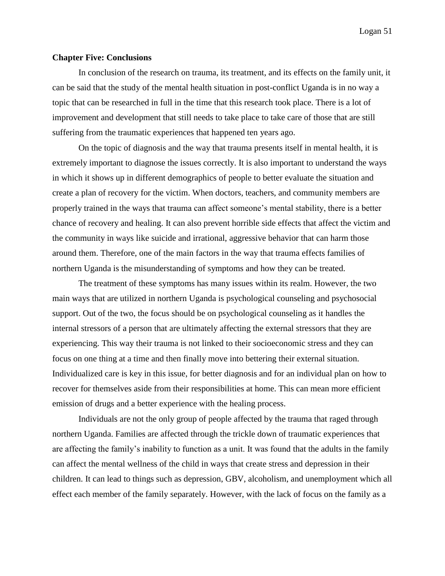#### **Chapter Five: Conclusions**

In conclusion of the research on trauma, its treatment, and its effects on the family unit, it can be said that the study of the mental health situation in post-conflict Uganda is in no way a topic that can be researched in full in the time that this research took place. There is a lot of improvement and development that still needs to take place to take care of those that are still suffering from the traumatic experiences that happened ten years ago.

On the topic of diagnosis and the way that trauma presents itself in mental health, it is extremely important to diagnose the issues correctly. It is also important to understand the ways in which it shows up in different demographics of people to better evaluate the situation and create a plan of recovery for the victim. When doctors, teachers, and community members are properly trained in the ways that trauma can affect someone's mental stability, there is a better chance of recovery and healing. It can also prevent horrible side effects that affect the victim and the community in ways like suicide and irrational, aggressive behavior that can harm those around them. Therefore, one of the main factors in the way that trauma effects families of northern Uganda is the misunderstanding of symptoms and how they can be treated.

The treatment of these symptoms has many issues within its realm. However, the two main ways that are utilized in northern Uganda is psychological counseling and psychosocial support. Out of the two, the focus should be on psychological counseling as it handles the internal stressors of a person that are ultimately affecting the external stressors that they are experiencing. This way their trauma is not linked to their socioeconomic stress and they can focus on one thing at a time and then finally move into bettering their external situation. Individualized care is key in this issue, for better diagnosis and for an individual plan on how to recover for themselves aside from their responsibilities at home. This can mean more efficient emission of drugs and a better experience with the healing process.

Individuals are not the only group of people affected by the trauma that raged through northern Uganda. Families are affected through the trickle down of traumatic experiences that are affecting the family's inability to function as a unit. It was found that the adults in the family can affect the mental wellness of the child in ways that create stress and depression in their children. It can lead to things such as depression, GBV, alcoholism, and unemployment which all effect each member of the family separately. However, with the lack of focus on the family as a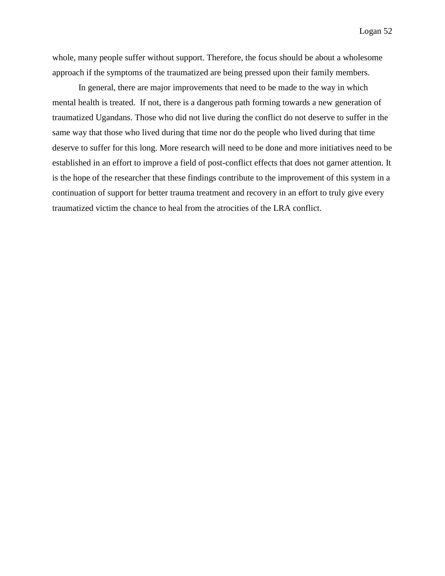whole, many people suffer without support. Therefore, the focus should be about a wholesome approach if the symptoms of the traumatized are being pressed upon their family members.

In general, there are major improvements that need to be made to the way in which mental health is treated. If not, there is a dangerous path forming towards a new generation of traumatized Ugandans. Those who did not live during the conflict do not deserve to suffer in the same way that those who lived during that time nor do the people who lived during that time deserve to suffer for this long. More research will need to be done and more initiatives need to be established in an effort to improve a field of post-conflict effects that does not garner attention. It is the hope of the researcher that these findings contribute to the improvement of this system in a continuation of support for better trauma treatment and recovery in an effort to truly give every traumatized victim the chance to heal from the atrocities of the LRA conflict.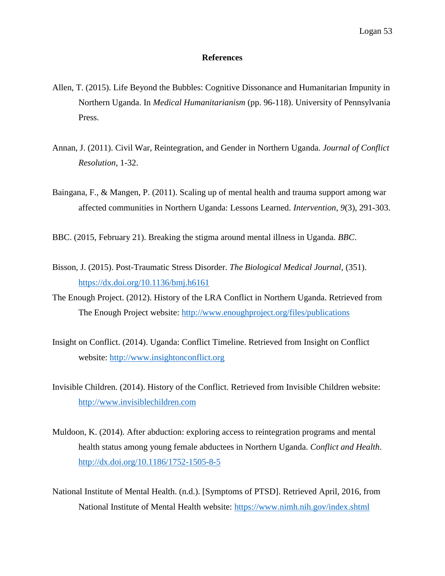#### **References**

- Allen, T. (2015). Life Beyond the Bubbles: Cognitive Dissonance and Humanitarian Impunity in Northern Uganda. In *Medical Humanitarianism* (pp. 96-118). University of Pennsylvania Press.
- Annan, J. (2011). Civil War, Reintegration, and Gender in Northern Uganda. *Journal of Conflict Resolution*, 1-32.
- Baingana, F., & Mangen, P. (2011). Scaling up of mental health and trauma support among war affected communities in Northern Uganda: Lessons Learned. *Intervention*, *9*(3), 291-303.
- BBC. (2015, February 21). Breaking the stigma around mental illness in Uganda. *BBC*.
- Bisson, J. (2015). Post-Traumatic Stress Disorder. *The Biological Medical Journal*, (351). <https://dx.doi.org/10.1136/bmj.h6161>
- The Enough Project. (2012). History of the LRA Conflict in Northern Uganda. Retrieved from The Enough Project website:<http://www.enoughproject.org/files/publications>
- Insight on Conflict. (2014). Uganda: Conflict Timeline. Retrieved from Insight on Conflict website: [http://www.insightonconflict.org](http://www.insightonconflict.org/)
- Invisible Children. (2014). History of the Conflict. Retrieved from Invisible Children website: [http://www.invisiblechildren.com](http://www.invisiblechildren.com/)
- Muldoon, K. (2014). After abduction: exploring access to reintegration programs and mental health status among young female abductees in Northern Uganda. *Conflict and Health*. <http://dx.doi.org/10.1186/1752-1505-8-5>
- National Institute of Mental Health. (n.d.). [Symptoms of PTSD]. Retrieved April, 2016, from National Institute of Mental Health website:<https://www.nimh.nih.gov/index.shtml>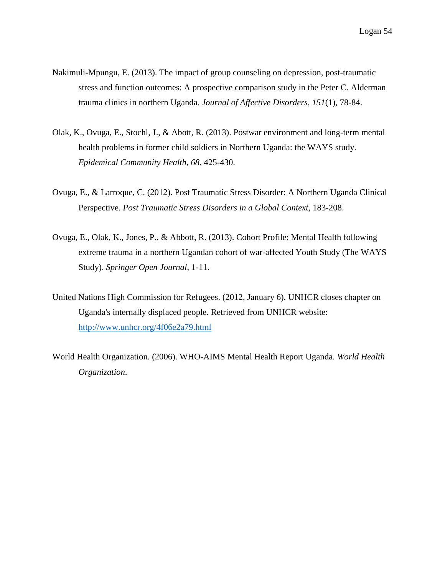- Nakimuli-Mpungu, E. (2013). The impact of group counseling on depression, post-traumatic stress and function outcomes: A prospective comparison study in the Peter C. Alderman trauma clinics in northern Uganda. *Journal of Affective Disorders*, *151*(1), 78-84.
- Olak, K., Ovuga, E., Stochl, J., & Abott, R. (2013). Postwar environment and long-term mental health problems in former child soldiers in Northern Uganda: the WAYS study. *Epidemical Community Health*, *68*, 425-430.
- Ovuga, E., & Larroque, C. (2012). Post Traumatic Stress Disorder: A Northern Uganda Clinical Perspective. *Post Traumatic Stress Disorders in a Global Context*, 183-208.
- Ovuga, E., Olak, K., Jones, P., & Abbott, R. (2013). Cohort Profile: Mental Health following extreme trauma in a northern Ugandan cohort of war-affected Youth Study (The WAYS Study). *Springer Open Journal*, 1-11.
- United Nations High Commission for Refugees. (2012, January 6). UNHCR closes chapter on Uganda's internally displaced people. Retrieved from UNHCR website: <http://www.unhcr.org/4f06e2a79.html>
- World Health Organization. (2006). WHO-AIMS Mental Health Report Uganda. *World Health Organization*.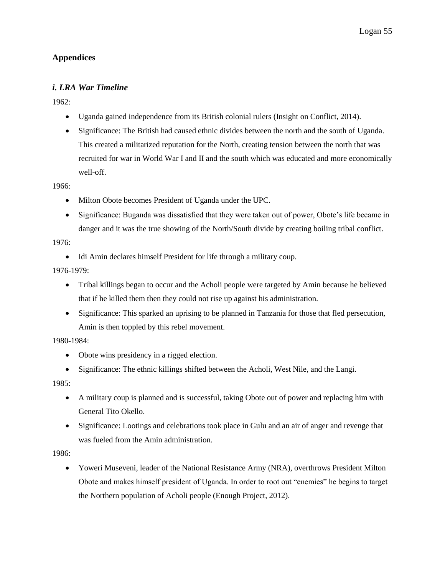## **Appendices**

## *i. LRA War Timeline*

1962:

- Uganda gained independence from its British colonial rulers (Insight on Conflict, 2014).
- Significance: The British had caused ethnic divides between the north and the south of Uganda. This created a militarized reputation for the North, creating tension between the north that was recruited for war in World War I and II and the south which was educated and more economically well-off.

1966:

- Milton Obote becomes President of Uganda under the UPC.
- Significance: Buganda was dissatisfied that they were taken out of power, Obote's life became in danger and it was the true showing of the North/South divide by creating boiling tribal conflict.

1976:

Idi Amin declares himself President for life through a military coup.

1976-1979:

- Tribal killings began to occur and the Acholi people were targeted by Amin because he believed that if he killed them then they could not rise up against his administration.
- Significance: This sparked an uprising to be planned in Tanzania for those that fled persecution, Amin is then toppled by this rebel movement.

1980-1984:

- Obote wins presidency in a rigged election.
- Significance: The ethnic killings shifted between the Acholi, West Nile, and the Langi.

1985:

- A military coup is planned and is successful, taking Obote out of power and replacing him with General Tito Okello.
- Significance: Lootings and celebrations took place in Gulu and an air of anger and revenge that was fueled from the Amin administration.

1986:

 Yoweri Museveni, leader of the National Resistance Army (NRA), overthrows President Milton Obote and makes himself president of Uganda. In order to root out "enemies" he begins to target the Northern population of Acholi people (Enough Project, 2012).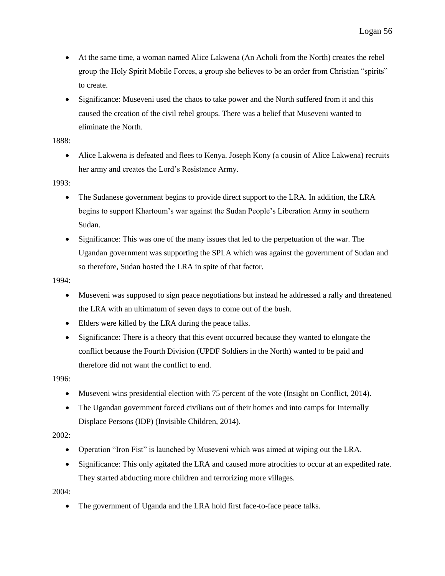- At the same time, a woman named Alice Lakwena (An Acholi from the North) creates the rebel group the Holy Spirit Mobile Forces, a group she believes to be an order from Christian "spirits" to create.
- Significance: Museveni used the chaos to take power and the North suffered from it and this caused the creation of the civil rebel groups. There was a belief that Museveni wanted to eliminate the North.

1888:

 Alice Lakwena is defeated and flees to Kenya. Joseph Kony (a cousin of Alice Lakwena) recruits her army and creates the Lord's Resistance Army.

1993:

- The Sudanese government begins to provide direct support to the LRA. In addition, the LRA begins to support Khartoum's war against the Sudan People's Liberation Army in southern Sudan.
- Significance: This was one of the many issues that led to the perpetuation of the war. The Ugandan government was supporting the SPLA which was against the government of Sudan and so therefore, Sudan hosted the LRA in spite of that factor.

1994:

- Museveni was supposed to sign peace negotiations but instead he addressed a rally and threatened the LRA with an ultimatum of seven days to come out of the bush.
- Elders were killed by the LRA during the peace talks.
- Significance: There is a theory that this event occurred because they wanted to elongate the conflict because the Fourth Division (UPDF Soldiers in the North) wanted to be paid and therefore did not want the conflict to end.

1996:

- Museveni wins presidential election with 75 percent of the vote (Insight on Conflict, 2014).
- The Ugandan government forced civilians out of their homes and into camps for Internally Displace Persons (IDP) (Invisible Children, 2014).

2002:

- Operation "Iron Fist" is launched by Museveni which was aimed at wiping out the LRA.
- Significance: This only agitated the LRA and caused more atrocities to occur at an expedited rate. They started abducting more children and terrorizing more villages.

2004:

• The government of Uganda and the LRA hold first face-to-face peace talks.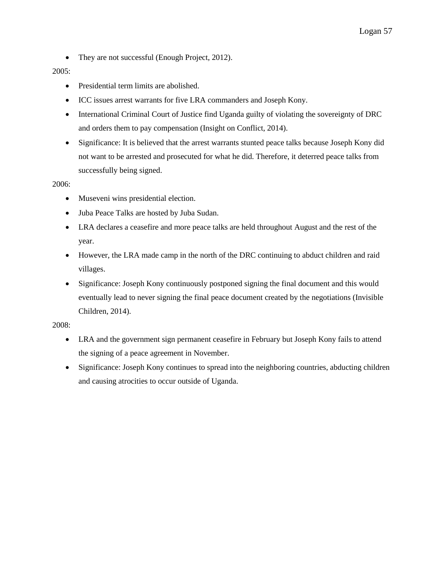• They are not successful (Enough Project, 2012).

#### 2005:

- Presidential term limits are abolished.
- ICC issues arrest warrants for five LRA commanders and Joseph Kony.
- International Criminal Court of Justice find Uganda guilty of violating the sovereignty of DRC and orders them to pay compensation (Insight on Conflict, 2014).
- Significance: It is believed that the arrest warrants stunted peace talks because Joseph Kony did not want to be arrested and prosecuted for what he did. Therefore, it deterred peace talks from successfully being signed.

#### 2006:

- Museveni wins presidential election.
- Juba Peace Talks are hosted by Juba Sudan.
- LRA declares a ceasefire and more peace talks are held throughout August and the rest of the year.
- However, the LRA made camp in the north of the DRC continuing to abduct children and raid villages.
- Significance: Joseph Kony continuously postponed signing the final document and this would eventually lead to never signing the final peace document created by the negotiations (Invisible Children, 2014).

#### 2008:

- LRA and the government sign permanent ceasefire in February but Joseph Kony fails to attend the signing of a peace agreement in November.
- Significance: Joseph Kony continues to spread into the neighboring countries, abducting children and causing atrocities to occur outside of Uganda.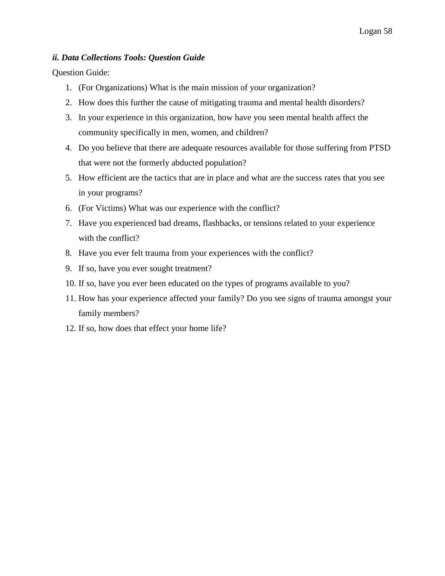## *ii. Data Collections Tools: Question Guide*

Question Guide:

- 1. (For Organizations) What is the main mission of your organization?
- 2. How does this further the cause of mitigating trauma and mental health disorders?
- 3. In your experience in this organization, how have you seen mental health affect the community specifically in men, women, and children?
- 4. Do you believe that there are adequate resources available for those suffering from PTSD that were not the formerly abducted population?
- 5. How efficient are the tactics that are in place and what are the success rates that you see in your programs?
- 6. (For Victims) What was our experience with the conflict?
- 7. Have you experienced bad dreams, flashbacks, or tensions related to your experience with the conflict?
- 8. Have you ever felt trauma from your experiences with the conflict?
- 9. If so, have you ever sought treatment?
- 10. If so, have you ever been educated on the types of programs available to you?
- 11. How has your experience affected your family? Do you see signs of trauma amongst your family members?
- 12. If so, how does that effect your home life?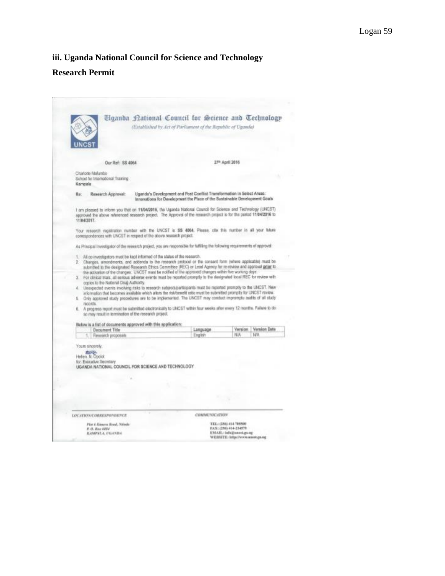# **iii. Uganda National Council for Science and Technology Research Permit**

|                                                                          | Tiganda National Council for Science and Technology<br>(Extablished by Act of Parliament of the Republic of Uganda)                                                                                                                                                                                                                                                                                                                                                                                                                                                                                                                                                                                                                                                           |                     |                             |              |
|--------------------------------------------------------------------------|-------------------------------------------------------------------------------------------------------------------------------------------------------------------------------------------------------------------------------------------------------------------------------------------------------------------------------------------------------------------------------------------------------------------------------------------------------------------------------------------------------------------------------------------------------------------------------------------------------------------------------------------------------------------------------------------------------------------------------------------------------------------------------|---------------------|-----------------------------|--------------|
| Our Ref: \$\$ 4064                                                       |                                                                                                                                                                                                                                                                                                                                                                                                                                                                                                                                                                                                                                                                                                                                                                               |                     | 27 <sup>th</sup> April 2016 |              |
| Charlotte Malumbo<br>School for International Training<br>Kampala        |                                                                                                                                                                                                                                                                                                                                                                                                                                                                                                                                                                                                                                                                                                                                                                               |                     |                             |              |
| Re:<br>Research Approval:                                                | Uganda's Development and Post Conflict Transformation in Select Areas:<br>Innovations for Davelopment the Place of the Sustainable Development Goals                                                                                                                                                                                                                                                                                                                                                                                                                                                                                                                                                                                                                          |                     |                             |              |
| 11/04/2017                                                               | I am pleased to inform you that on 11/04/2016, the Uganda National Council for Science and Technology (UNCST)<br>approved the above referenced research project. The Approval of the research project is for the period 11/04/2016 to                                                                                                                                                                                                                                                                                                                                                                                                                                                                                                                                         |                     |                             |              |
|                                                                          | Your research registration number with the UNCST is \$\$ 4064. Please, cite this number in all your future<br>comespondences with UNCST in respect of the above research project.                                                                                                                                                                                                                                                                                                                                                                                                                                                                                                                                                                                             |                     |                             |              |
|                                                                          | As Principal Investigator of the research project, you are responsible for fulfilling the following requirements of approval:                                                                                                                                                                                                                                                                                                                                                                                                                                                                                                                                                                                                                                                 |                     |                             |              |
|                                                                          | 1. All co-investigators must be kept informed of the status of the research.<br>2. Changes, amendments, and addenda to the research protocol or the consent form (where applicable) must be<br>submitted to the designated Research Ethics Committee (REC) or Lead Agency for re-review and approval gefor to                                                                                                                                                                                                                                                                                                                                                                                                                                                                 |                     |                             |              |
| copies to the National Drug Authority.<br>z.<br>长.<br>records.           | the activation of the changes. UNCST must be notified at the approved changes within five working days.<br>3. For clinical trais, all serious adverse events must be reported promptly to the designated local REC for review with<br>Unsepacted events involving risks to research subjects/participants must be reported promptly to the UNCST. New<br>information that becomes available which alters the risk/benefit ratio must be submitted promptly for UNCST review.<br>Only approved study procedures are to be implemented. The UNCST may conduct impromptu audits of all study<br>6. A progress report must be submitted electronically to LINCST within four weeks after every 12 months. Fallure to do.<br>so may result in termination of the research project. |                     |                             |              |
|                                                                          | Balow is a list of documents approved with this application:                                                                                                                                                                                                                                                                                                                                                                                                                                                                                                                                                                                                                                                                                                                  |                     |                             |              |
| <b>Document Title</b><br>Research proposals                              |                                                                                                                                                                                                                                                                                                                                                                                                                                                                                                                                                                                                                                                                                                                                                                               | Language<br>English | Version<br>N/A              | N/A          |
| Yours sincerely.<br>出山脉<br>Helen, N. Opolot<br>for: Esticutive Secretary | UGANDA NATIONAL COUNCIL FOR SCIENCE AND TECHNOLOGY.                                                                                                                                                                                                                                                                                                                                                                                                                                                                                                                                                                                                                                                                                                                           |                     |                             |              |
| LOCATION/CORRESPONDENCE                                                  |                                                                                                                                                                                                                                                                                                                                                                                                                                                                                                                                                                                                                                                                                                                                                                               | COMMUNICATION       |                             | Version Date |